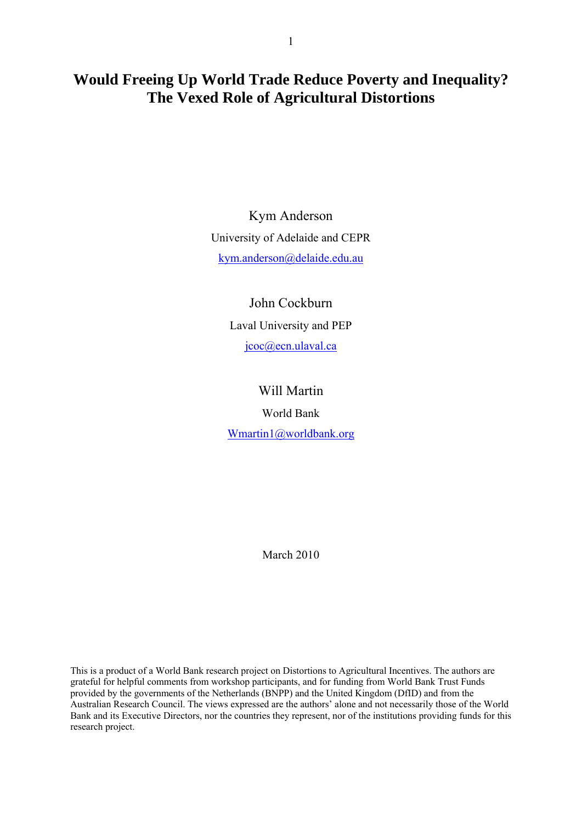## **Would Freeing Up World Trade Reduce Poverty and Inequality? The Vexed Role of Agricultural Distortions**

Kym Anderson University of Adelaide and CEPR [kym.anderson@delaide.edu.au](mailto:kym.anderson@delaide.edu.au)

> John Cockburn Laval University and PEP [jcoc@ecn.ulaval.ca](mailto:jcoc@ecn.ulaval.ca)

## Will Martin

World Bank

[Wmartin1@worldbank.org](mailto:Wmartin1@worldbank.org)

March 2010

This is a product of a World Bank research project on Distortions to Agricultural Incentives. The authors are grateful for helpful comments from workshop participants, and for funding from World Bank Trust Funds provided by the governments of the Netherlands (BNPP) and the United Kingdom (DfID) and from the Australian Research Council. The views expressed are the authors' alone and not necessarily those of the World Bank and its Executive Directors, nor the countries they represent, nor of the institutions providing funds for this research project.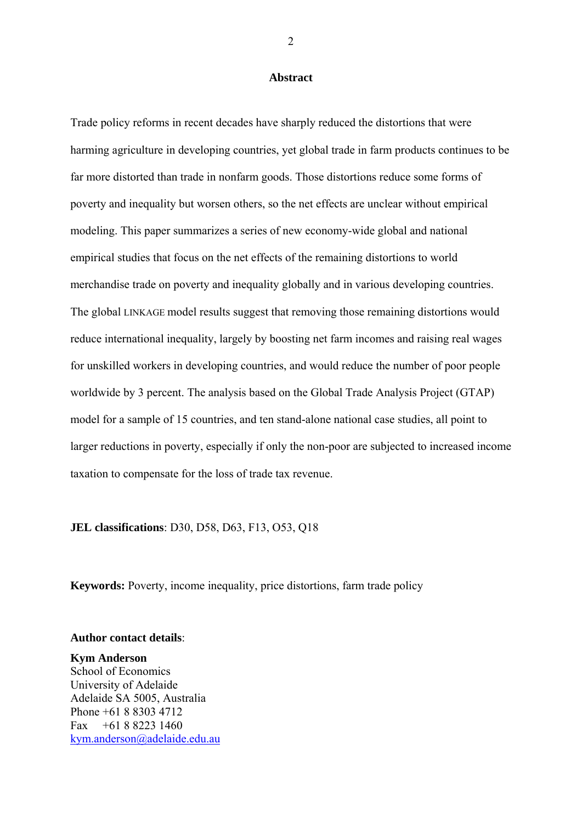#### **Abstract**

Trade policy reforms in recent decades have sharply reduced the distortions that were harming agriculture in developing countries, yet global trade in farm products continues to be far more distorted than trade in nonfarm goods. Those distortions reduce some forms of poverty and inequality but worsen others, so the net effects are unclear without empirical modeling. This paper summarizes a series of new economy-wide global and national empirical studies that focus on the net effects of the remaining distortions to world merchandise trade on poverty and inequality globally and in various developing countries. The global LINKAGE model results suggest that removing those remaining distortions would reduce international inequality, largely by boosting net farm incomes and raising real wages for unskilled workers in developing countries, and would reduce the number of poor people worldwide by 3 percent. The analysis based on the Global Trade Analysis Project (GTAP) model for a sample of 15 countries, and ten stand-alone national case studies, all point to larger reductions in poverty, especially if only the non-poor are subjected to increased income taxation to compensate for the loss of trade tax revenue.

**JEL classifications**: D30, D58, D63, F13, O53, Q18

**Keywords:** Poverty, income inequality, price distortions, farm trade policy

**Author contact details**:

**Kym Anderson**  School of Economics University of Adelaide Adelaide SA 5005, Australia Phone +61 8 8303 4712 Fax  $+61882231460$ [kym.anderson@adelaide.edu.au](mailto:kym.anderson@adelaide.edu.au)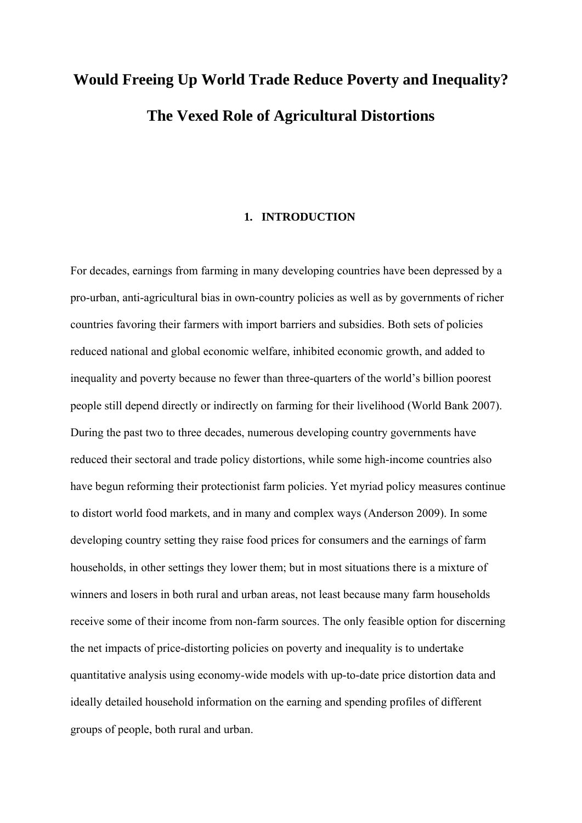# **Would Freeing Up World Trade Reduce Poverty and Inequality? The Vexed Role of Agricultural Distortions**

#### **1. INTRODUCTION**

For decades, earnings from farming in many developing countries have been depressed by a pro-urban, anti-agricultural bias in own-country policies as well as by governments of richer countries favoring their farmers with import barriers and subsidies. Both sets of policies reduced national and global economic welfare, inhibited economic growth, and added to inequality and poverty because no fewer than three-quarters of the world's billion poorest people still depend directly or indirectly on farming for their livelihood (World Bank 2007). During the past two to three decades, numerous developing country governments have reduced their sectoral and trade policy distortions, while some high-income countries also have begun reforming their protectionist farm policies. Yet myriad policy measures continue to distort world food markets, and in many and complex ways (Anderson 2009). In some developing country setting they raise food prices for consumers and the earnings of farm households, in other settings they lower them; but in most situations there is a mixture of winners and losers in both rural and urban areas, not least because many farm households receive some of their income from non-farm sources. The only feasible option for discerning the net impacts of price-distorting policies on poverty and inequality is to undertake quantitative analysis using economy-wide models with up-to-date price distortion data and ideally detailed household information on the earning and spending profiles of different groups of people, both rural and urban.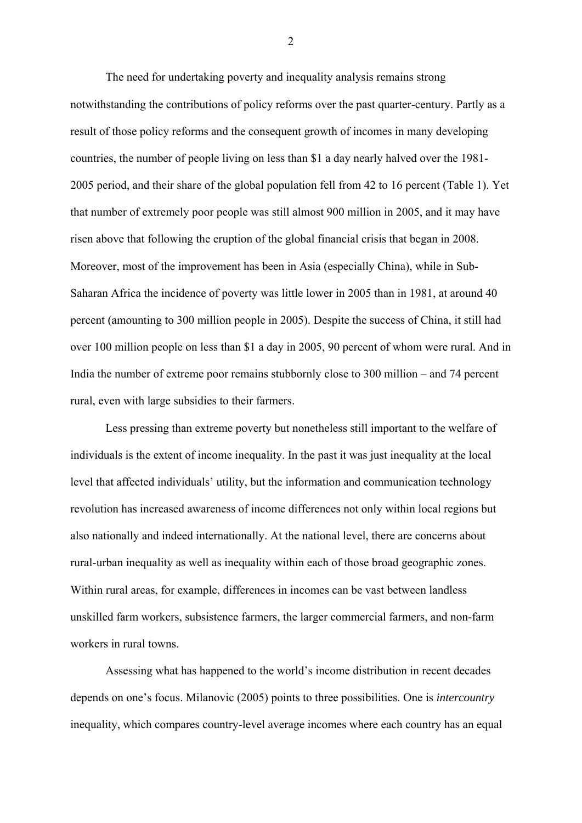The need for undertaking poverty and inequality analysis remains strong notwithstanding the contributions of policy reforms over the past quarter-century. Partly as a result of those policy reforms and the consequent growth of incomes in many developing countries, the number of people living on less than \$1 a day nearly halved over the 1981- 2005 period, and their share of the global population fell from 42 to 16 percent (Table 1). Yet that number of extremely poor people was still almost 900 million in 2005, and it may have risen above that following the eruption of the global financial crisis that began in 2008. Moreover, most of the improvement has been in Asia (especially China), while in Sub-Saharan Africa the incidence of poverty was little lower in 2005 than in 1981, at around 40 percent (amounting to 300 million people in 2005). Despite the success of China, it still had over 100 million people on less than \$1 a day in 2005, 90 percent of whom were rural. And in India the number of extreme poor remains stubbornly close to 300 million – and 74 percent rural, even with large subsidies to their farmers.

 Less pressing than extreme poverty but nonetheless still important to the welfare of individuals is the extent of income inequality. In the past it was just inequality at the local level that affected individuals' utility, but the information and communication technology revolution has increased awareness of income differences not only within local regions but also nationally and indeed internationally. At the national level, there are concerns about rural-urban inequality as well as inequality within each of those broad geographic zones. Within rural areas, for example, differences in incomes can be vast between landless unskilled farm workers, subsistence farmers, the larger commercial farmers, and non-farm workers in rural towns.

 Assessing what has happened to the world's income distribution in recent decades depends on one's focus. Milanovic (2005) points to three possibilities. One is *intercountry*  inequality, which compares country-level average incomes where each country has an equal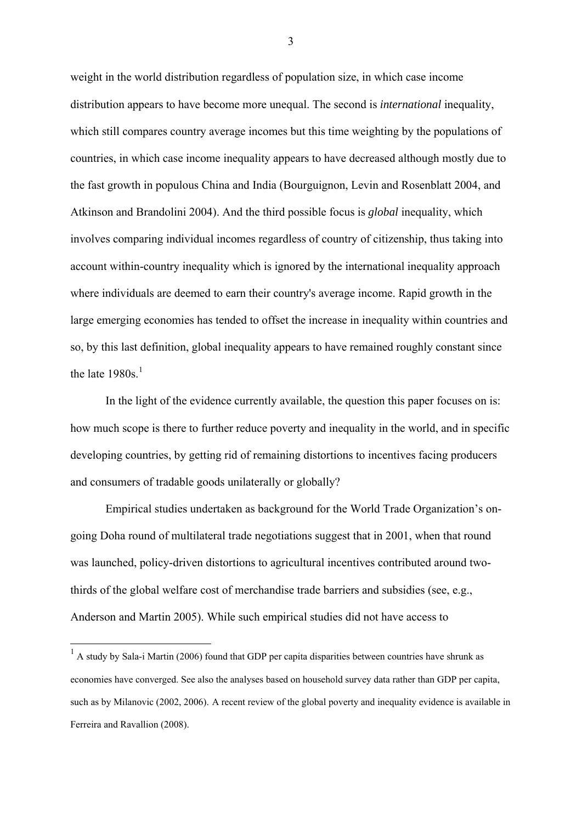weight in the world distribution regardless of population size, in which case income distribution appears to have become more unequal. The second is *international* inequality, which still compares country average incomes but this time weighting by the populations of countries, in which case income inequality appears to have decreased although mostly due to the fast growth in populous China and India (Bourguignon, Levin and Rosenblatt 2004, and Atkinson and Brandolini 2004). And the third possible focus is *global* inequality, which involves comparing individual incomes regardless of country of citizenship, thus taking into account within-country inequality which is ignored by the international inequality approach where individuals are deemed to earn their country's average income. Rapid growth in the large emerging economies has tended to offset the increase in inequality within countries and so, by this last definition, global inequality appears to have remained roughly constant since the late  $1980s.<sup>1</sup>$  $1980s.<sup>1</sup>$ 

In the light of the evidence currently available, the question this paper focuses on is: how much scope is there to further reduce poverty and inequality in the world, and in specific developing countries, by getting rid of remaining distortions to incentives facing producers and consumers of tradable goods unilaterally or globally?

Empirical studies undertaken as background for the World Trade Organization's ongoing Doha round of multilateral trade negotiations suggest that in 2001, when that round was launched, policy-driven distortions to agricultural incentives contributed around twothirds of the global welfare cost of merchandise trade barriers and subsidies (see, e.g., Anderson and Martin 2005). While such empirical studies did not have access to

1

<span id="page-4-0"></span><sup>&</sup>lt;sup>1</sup> A study by Sala-i Martin (2006) found that GDP per capita disparities between countries have shrunk as economies have converged. See also the analyses based on household survey data rather than GDP per capita, such as by Milanovic (2002, 2006). A recent review of the global poverty and inequality evidence is available in Ferreira and Ravallion (2008).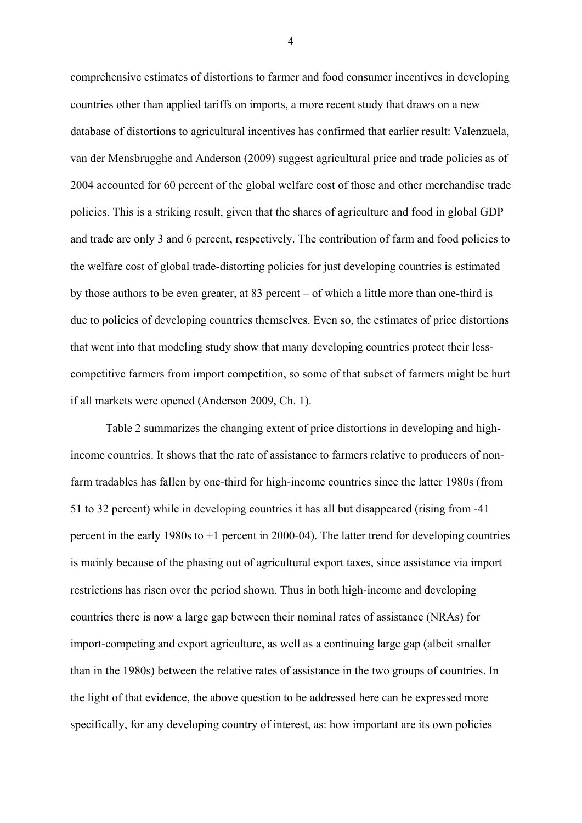comprehensive estimates of distortions to farmer and food consumer incentives in developing countries other than applied tariffs on imports, a more recent study that draws on a new database of distortions to agricultural incentives has confirmed that earlier result: Valenzuela, van der Mensbrugghe and Anderson (2009) suggest agricultural price and trade policies as of 2004 accounted for 60 percent of the global welfare cost of those and other merchandise trade policies. This is a striking result, given that the shares of agriculture and food in global GDP and trade are only 3 and 6 percent, respectively. The contribution of farm and food policies to the welfare cost of global trade-distorting policies for just developing countries is estimated by those authors to be even greater, at 83 percent – of which a little more than one-third is due to policies of developing countries themselves. Even so, the estimates of price distortions that went into that modeling study show that many developing countries protect their lesscompetitive farmers from import competition, so some of that subset of farmers might be hurt if all markets were opened (Anderson 2009, Ch. 1).

Table 2 summarizes the changing extent of price distortions in developing and highincome countries. It shows that the rate of assistance to farmers relative to producers of nonfarm tradables has fallen by one-third for high-income countries since the latter 1980s (from 51 to 32 percent) while in developing countries it has all but disappeared (rising from -41 percent in the early 1980s to +1 percent in 2000-04). The latter trend for developing countries is mainly because of the phasing out of agricultural export taxes, since assistance via import restrictions has risen over the period shown. Thus in both high-income and developing countries there is now a large gap between their nominal rates of assistance (NRAs) for import-competing and export agriculture, as well as a continuing large gap (albeit smaller than in the 1980s) between the relative rates of assistance in the two groups of countries. In the light of that evidence, the above question to be addressed here can be expressed more specifically, for any developing country of interest, as: how important are its own policies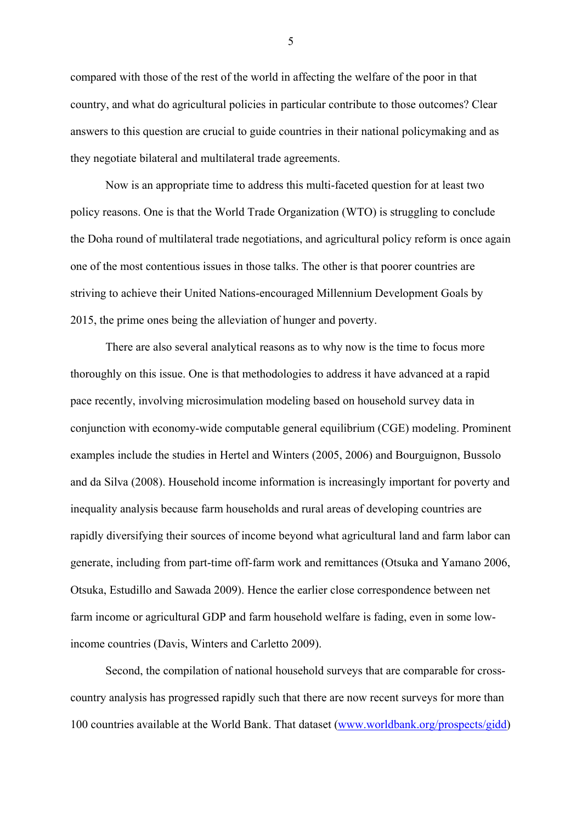compared with those of the rest of the world in affecting the welfare of the poor in that country, and what do agricultural policies in particular contribute to those outcomes? Clear answers to this question are crucial to guide countries in their national policymaking and as they negotiate bilateral and multilateral trade agreements.

 Now is an appropriate time to address this multi-faceted question for at least two policy reasons. One is that the World Trade Organization (WTO) is struggling to conclude the Doha round of multilateral trade negotiations, and agricultural policy reform is once again one of the most contentious issues in those talks. The other is that poorer countries are striving to achieve their United Nations-encouraged Millennium Development Goals by 2015, the prime ones being the alleviation of hunger and poverty.

There are also several analytical reasons as to why now is the time to focus more thoroughly on this issue. One is that methodologies to address it have advanced at a rapid pace recently, involving microsimulation modeling based on household survey data in conjunction with economy-wide computable general equilibrium (CGE) modeling. Prominent examples include the studies in Hertel and Winters (2005, 2006) and Bourguignon, Bussolo and da Silva (2008). Household income information is increasingly important for poverty and inequality analysis because farm households and rural areas of developing countries are rapidly diversifying their sources of income beyond what agricultural land and farm labor can generate, including from part-time off-farm work and remittances (Otsuka and Yamano 2006, Otsuka, Estudillo and Sawada 2009). Hence the earlier close correspondence between net farm income or agricultural GDP and farm household welfare is fading, even in some lowincome countries (Davis, Winters and Carletto 2009).

Second, the compilation of national household surveys that are comparable for crosscountry analysis has progressed rapidly such that there are now recent surveys for more than 100 countries available at the World Bank. That dataset [\(www.worldbank.org/prospects/gidd\)](http://www.worldbank.org/prospects/gidd)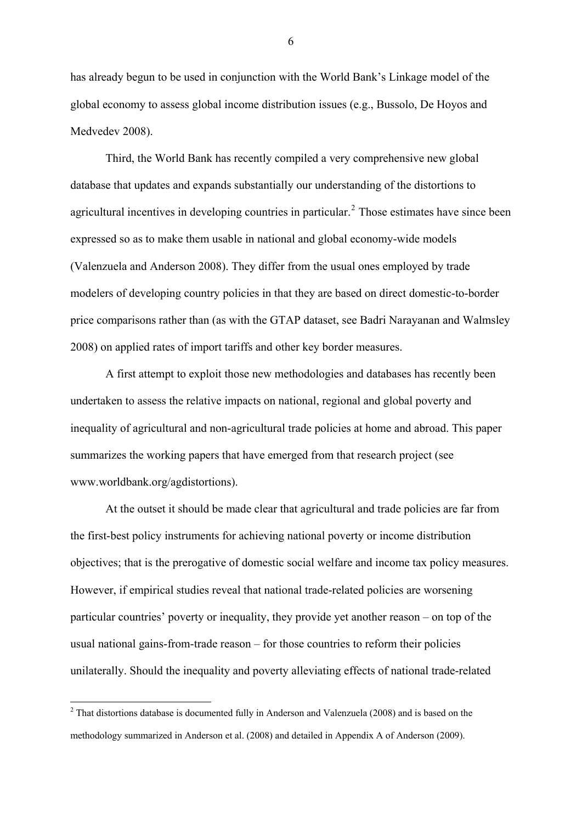<span id="page-7-0"></span>has already begun to be used in conjunction with the World Bank's Linkage model of the global economy to assess global income distribution issues (e.g., Bussolo, De Hoyos and Medvedev 2008).

Third, the World Bank has recently compiled a very comprehensive new global database that updates and expands substantially our understanding of the distortions to agricultural incentives in developing countries in particular.<sup>[2](#page-7-0)</sup> Those estimates have since been expressed so as to make them usable in national and global economy-wide models (Valenzuela and Anderson 2008). They differ from the usual ones employed by trade modelers of developing country policies in that they are based on direct domestic-to-border price comparisons rather than (as with the GTAP dataset, see Badri Narayanan and Walmsley 2008) on applied rates of import tariffs and other key border measures.

A first attempt to exploit those new methodologies and databases has recently been undertaken to assess the relative impacts on national, regional and global poverty and inequality of agricultural and non-agricultural trade policies at home and abroad. This paper summarizes the working papers that have emerged from that research project (see www.worldbank.org/agdistortions).

At the outset it should be made clear that agricultural and trade policies are far from the first-best policy instruments for achieving national poverty or income distribution objectives; that is the prerogative of domestic social welfare and income tax policy measures. However, if empirical studies reveal that national trade-related policies are worsening particular countries' poverty or inequality, they provide yet another reason – on top of the usual national gains-from-trade reason – for those countries to reform their policies unilaterally. Should the inequality and poverty alleviating effects of national trade-related

1

 $2$  That distortions database is documented fully in Anderson and Valenzuela (2008) and is based on the methodology summarized in Anderson et al. (2008) and detailed in Appendix A of Anderson (2009).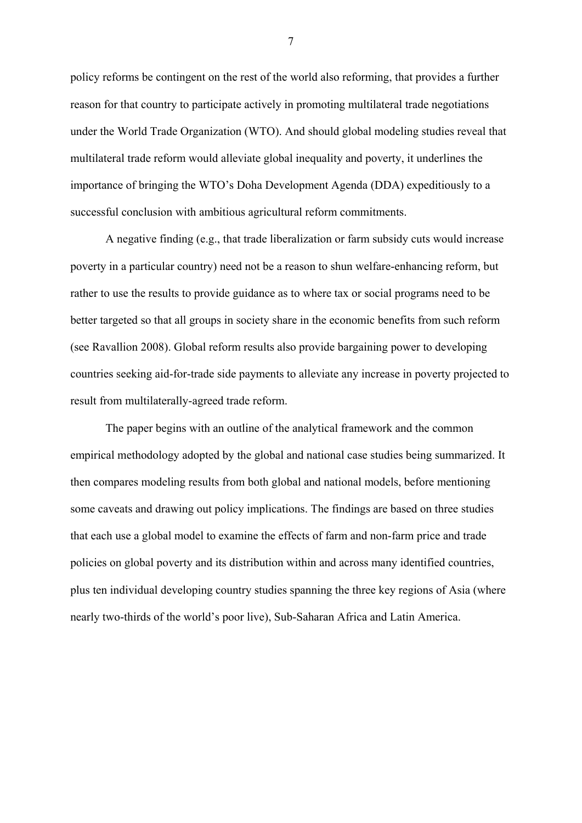policy reforms be contingent on the rest of the world also reforming, that provides a further reason for that country to participate actively in promoting multilateral trade negotiations under the World Trade Organization (WTO). And should global modeling studies reveal that multilateral trade reform would alleviate global inequality and poverty, it underlines the importance of bringing the WTO's Doha Development Agenda (DDA) expeditiously to a successful conclusion with ambitious agricultural reform commitments.

A negative finding (e.g., that trade liberalization or farm subsidy cuts would increase poverty in a particular country) need not be a reason to shun welfare-enhancing reform, but rather to use the results to provide guidance as to where tax or social programs need to be better targeted so that all groups in society share in the economic benefits from such reform (see Ravallion 2008). Global reform results also provide bargaining power to developing countries seeking aid-for-trade side payments to alleviate any increase in poverty projected to result from multilaterally-agreed trade reform.

The paper begins with an outline of the analytical framework and the common empirical methodology adopted by the global and national case studies being summarized. It then compares modeling results from both global and national models, before mentioning some caveats and drawing out policy implications. The findings are based on three studies that each use a global model to examine the effects of farm and non-farm price and trade policies on global poverty and its distribution within and across many identified countries, plus ten individual developing country studies spanning the three key regions of Asia (where nearly two-thirds of the world's poor live), Sub-Saharan Africa and Latin America.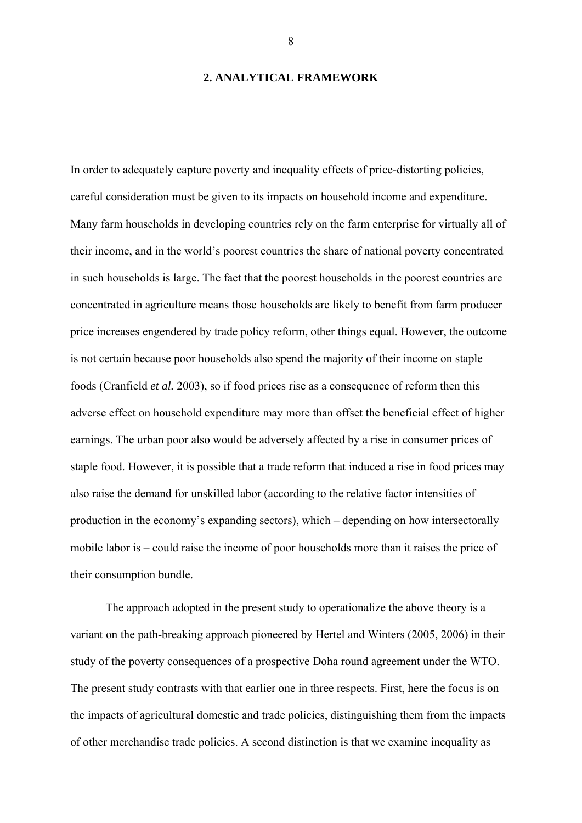#### **2. ANALYTICAL FRAMEWORK**

In order to adequately capture poverty and inequality effects of price-distorting policies, careful consideration must be given to its impacts on household income and expenditure. Many farm households in developing countries rely on the farm enterprise for virtually all of their income, and in the world's poorest countries the share of national poverty concentrated in such households is large. The fact that the poorest households in the poorest countries are concentrated in agriculture means those households are likely to benefit from farm producer price increases engendered by trade policy reform, other things equal. However, the outcome is not certain because poor households also spend the majority of their income on staple foods (Cranfield *et al.* 2003), so if food prices rise as a consequence of reform then this adverse effect on household expenditure may more than offset the beneficial effect of higher earnings. The urban poor also would be adversely affected by a rise in consumer prices of staple food. However, it is possible that a trade reform that induced a rise in food prices may also raise the demand for unskilled labor (according to the relative factor intensities of production in the economy's expanding sectors), which – depending on how intersectorally mobile labor is – could raise the income of poor households more than it raises the price of their consumption bundle.

The approach adopted in the present study to operationalize the above theory is a variant on the path-breaking approach pioneered by Hertel and Winters (2005, 2006) in their study of the poverty consequences of a prospective Doha round agreement under the WTO. The present study contrasts with that earlier one in three respects. First, here the focus is on the impacts of agricultural domestic and trade policies, distinguishing them from the impacts of other merchandise trade policies. A second distinction is that we examine inequality as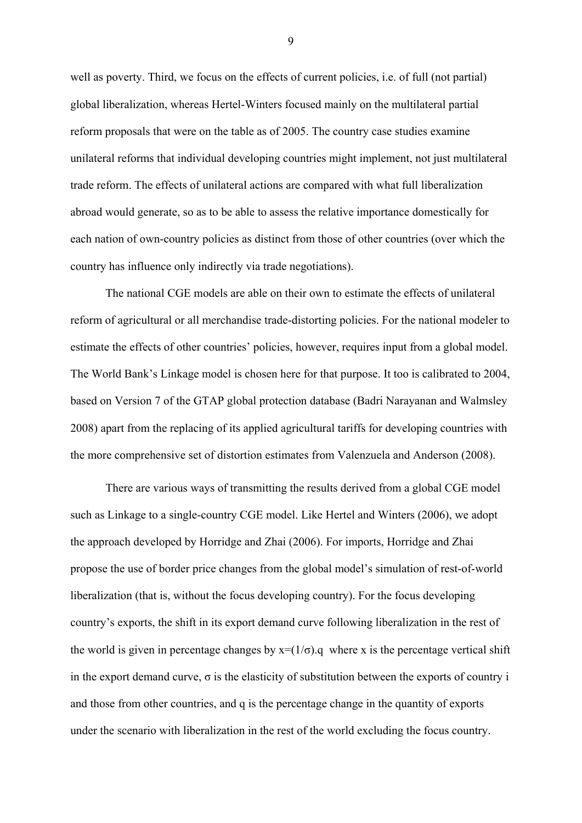well as poverty. Third, we focus on the effects of current policies, i.e. of full (not partial) global liberalization, whereas Hertel-Winters focused mainly on the multilateral partial reform proposals that were on the table as of 2005. The country case studies examine unilateral reforms that individual developing countries might implement, not just multilateral trade reform. The effects of unilateral actions are compared with what full liberalization abroad would generate, so as to be able to assess the relative importance domestically for each nation of own-country policies as distinct from those of other countries (over which the country has influence only indirectly via trade negotiations).

The national CGE models are able on their own to estimate the effects of unilateral reform of agricultural or all merchandise trade-distorting policies. For the national modeler to estimate the effects of other countries' policies, however, requires input from a global model. The World Bank's Linkage model is chosen here for that purpose. It too is calibrated to 2004, based on Version 7 of the GTAP global protection database (Badri Narayanan and Walmsley 2008) apart from the replacing of its applied agricultural tariffs for developing countries with the more comprehensive set of distortion estimates from Valenzuela and Anderson (2008).

There are various ways of transmitting the results derived from a global CGE model such as Linkage to a single-country CGE model. Like Hertel and Winters (2006), we adopt the approach developed by Horridge and Zhai (2006). For imports, Horridge and Zhai propose the use of border price changes from the global model's simulation of rest-of-world liberalization (that is, without the focus developing country). For the focus developing country's exports, the shift in its export demand curve following liberalization in the rest of the world is given in percentage changes by  $x=(1/\sigma)$ . q where x is the percentage vertical shift in the export demand curve,  $\sigma$  is the elasticity of substitution between the exports of country i and those from other countries, and q is the percentage change in the quantity of exports under the scenario with liberalization in the rest of the world excluding the focus country.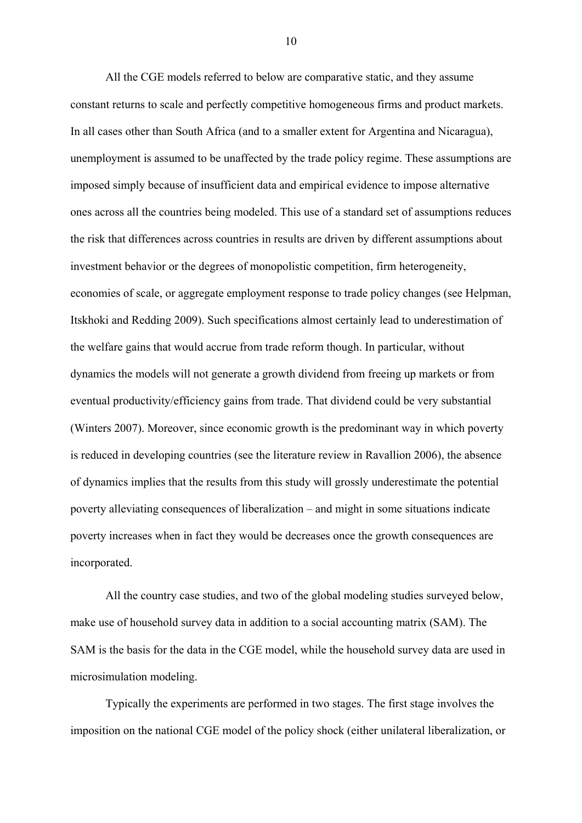All the CGE models referred to below are comparative static, and they assume constant returns to scale and perfectly competitive homogeneous firms and product markets. In all cases other than South Africa (and to a smaller extent for Argentina and Nicaragua), unemployment is assumed to be unaffected by the trade policy regime. These assumptions are imposed simply because of insufficient data and empirical evidence to impose alternative ones across all the countries being modeled. This use of a standard set of assumptions reduces the risk that differences across countries in results are driven by different assumptions about investment behavior or the degrees of monopolistic competition, firm heterogeneity, economies of scale, or aggregate employment response to trade policy changes (see Helpman, Itskhoki and Redding 2009). Such specifications almost certainly lead to underestimation of the welfare gains that would accrue from trade reform though. In particular, without dynamics the models will not generate a growth dividend from freeing up markets or from eventual productivity/efficiency gains from trade. That dividend could be very substantial (Winters 2007). Moreover, since economic growth is the predominant way in which poverty is reduced in developing countries (see the literature review in Ravallion 2006), the absence of dynamics implies that the results from this study will grossly underestimate the potential poverty alleviating consequences of liberalization – and might in some situations indicate poverty increases when in fact they would be decreases once the growth consequences are incorporated.

All the country case studies, and two of the global modeling studies surveyed below, make use of household survey data in addition to a social accounting matrix (SAM). The SAM is the basis for the data in the CGE model, while the household survey data are used in microsimulation modeling.

Typically the experiments are performed in two stages. The first stage involves the imposition on the national CGE model of the policy shock (either unilateral liberalization, or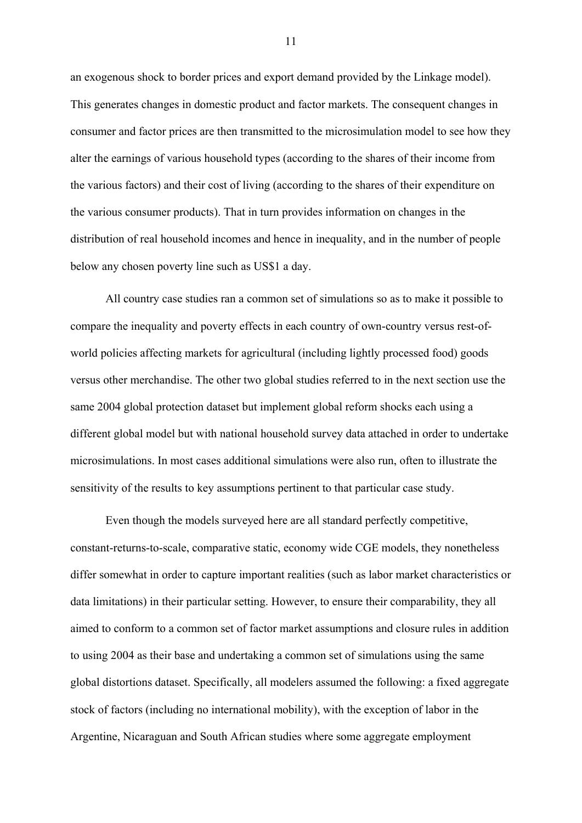an exogenous shock to border prices and export demand provided by the Linkage model). This generates changes in domestic product and factor markets. The consequent changes in consumer and factor prices are then transmitted to the microsimulation model to see how they alter the earnings of various household types (according to the shares of their income from the various factors) and their cost of living (according to the shares of their expenditure on the various consumer products). That in turn provides information on changes in the distribution of real household incomes and hence in inequality, and in the number of people below any chosen poverty line such as US\$1 a day.

 All country case studies ran a common set of simulations so as to make it possible to compare the inequality and poverty effects in each country of own-country versus rest-ofworld policies affecting markets for agricultural (including lightly processed food) goods versus other merchandise. The other two global studies referred to in the next section use the same 2004 global protection dataset but implement global reform shocks each using a different global model but with national household survey data attached in order to undertake microsimulations. In most cases additional simulations were also run, often to illustrate the sensitivity of the results to key assumptions pertinent to that particular case study.

 Even though the models surveyed here are all standard perfectly competitive, constant-returns-to-scale, comparative static, economy wide CGE models, they nonetheless differ somewhat in order to capture important realities (such as labor market characteristics or data limitations) in their particular setting. However, to ensure their comparability, they all aimed to conform to a common set of factor market assumptions and closure rules in addition to using 2004 as their base and undertaking a common set of simulations using the same global distortions dataset. Specifically, all modelers assumed the following: a fixed aggregate stock of factors (including no international mobility), with the exception of labor in the Argentine, Nicaraguan and South African studies where some aggregate employment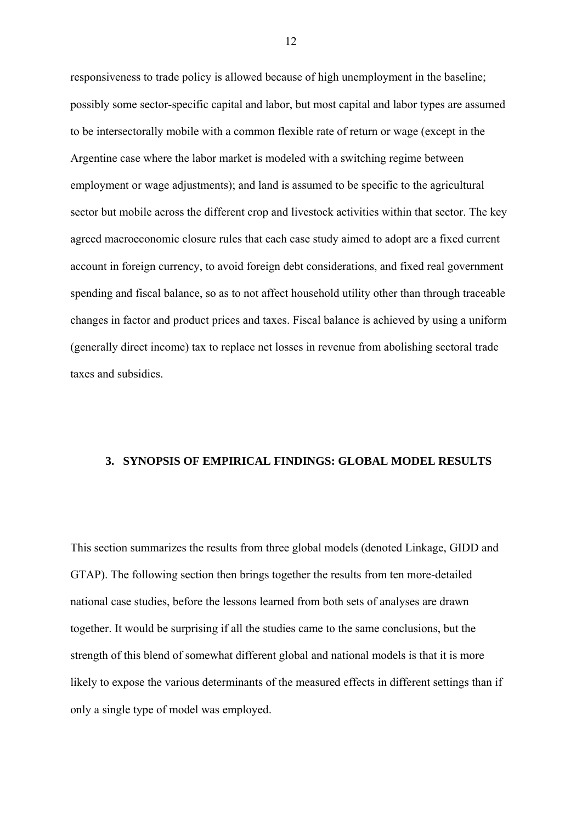responsiveness to trade policy is allowed because of high unemployment in the baseline; possibly some sector-specific capital and labor, but most capital and labor types are assumed to be intersectorally mobile with a common flexible rate of return or wage (except in the Argentine case where the labor market is modeled with a switching regime between employment or wage adjustments); and land is assumed to be specific to the agricultural sector but mobile across the different crop and livestock activities within that sector. The key agreed macroeconomic closure rules that each case study aimed to adopt are a fixed current account in foreign currency, to avoid foreign debt considerations, and fixed real government spending and fiscal balance, so as to not affect household utility other than through traceable changes in factor and product prices and taxes. Fiscal balance is achieved by using a uniform (generally direct income) tax to replace net losses in revenue from abolishing sectoral trade taxes and subsidies.

#### **3. SYNOPSIS OF EMPIRICAL FINDINGS: GLOBAL MODEL RESULTS**

This section summarizes the results from three global models (denoted Linkage, GIDD and GTAP). The following section then brings together the results from ten more-detailed national case studies, before the lessons learned from both sets of analyses are drawn together. It would be surprising if all the studies came to the same conclusions, but the strength of this blend of somewhat different global and national models is that it is more likely to expose the various determinants of the measured effects in different settings than if only a single type of model was employed.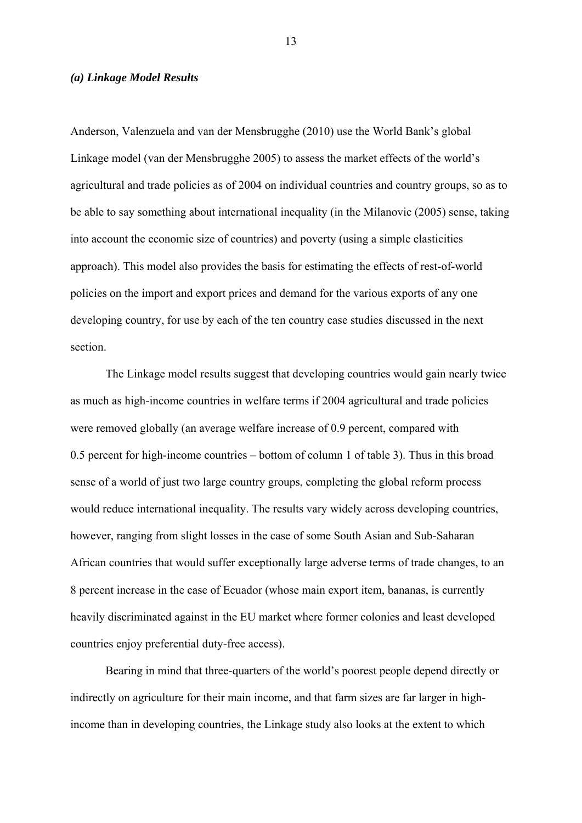#### *(a) Linkage Model Results*

Anderson, Valenzuela and van der Mensbrugghe (2010) use the World Bank's global Linkage model (van der Mensbrugghe 2005) to assess the market effects of the world's agricultural and trade policies as of 2004 on individual countries and country groups, so as to be able to say something about international inequality (in the Milanovic (2005) sense, taking into account the economic size of countries) and poverty (using a simple elasticities approach). This model also provides the basis for estimating the effects of rest-of-world policies on the import and export prices and demand for the various exports of any one developing country, for use by each of the ten country case studies discussed in the next section.

The Linkage model results suggest that developing countries would gain nearly twice as much as high-income countries in welfare terms if 2004 agricultural and trade policies were removed globally (an average welfare increase of 0.9 percent, compared with 0.5 percent for high-income countries – bottom of column 1 of table 3). Thus in this broad sense of a world of just two large country groups, completing the global reform process would reduce international inequality. The results vary widely across developing countries, however, ranging from slight losses in the case of some South Asian and Sub-Saharan African countries that would suffer exceptionally large adverse terms of trade changes, to an 8 percent increase in the case of Ecuador (whose main export item, bananas, is currently heavily discriminated against in the EU market where former colonies and least developed countries enjoy preferential duty-free access).

Bearing in mind that three-quarters of the world's poorest people depend directly or indirectly on agriculture for their main income, and that farm sizes are far larger in highincome than in developing countries, the Linkage study also looks at the extent to which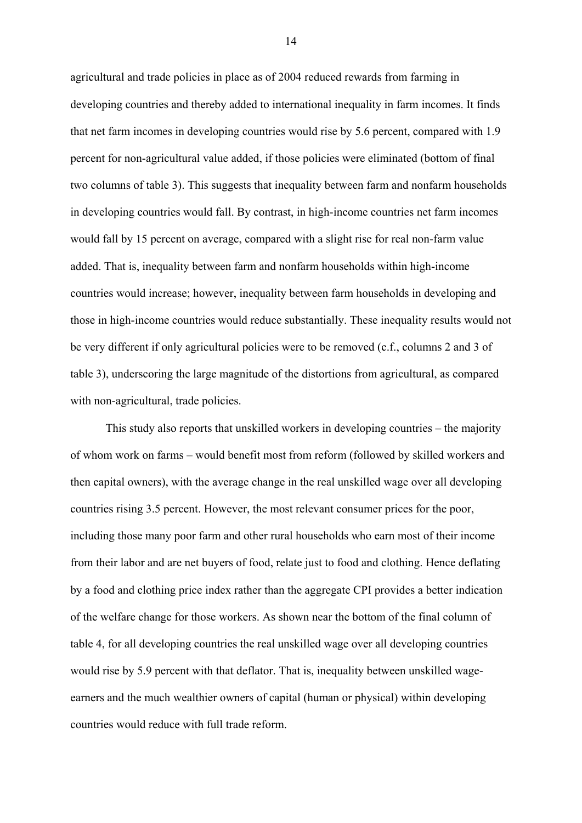agricultural and trade policies in place as of 2004 reduced rewards from farming in developing countries and thereby added to international inequality in farm incomes. It finds that net farm incomes in developing countries would rise by 5.6 percent, compared with 1.9 percent for non-agricultural value added, if those policies were eliminated (bottom of final two columns of table 3). This suggests that inequality between farm and nonfarm households in developing countries would fall. By contrast, in high-income countries net farm incomes would fall by 15 percent on average, compared with a slight rise for real non-farm value added. That is, inequality between farm and nonfarm households within high-income countries would increase; however, inequality between farm households in developing and those in high-income countries would reduce substantially. These inequality results would not be very different if only agricultural policies were to be removed (c.f., columns 2 and 3 of table 3), underscoring the large magnitude of the distortions from agricultural, as compared with non-agricultural, trade policies.

This study also reports that unskilled workers in developing countries – the majority of whom work on farms – would benefit most from reform (followed by skilled workers and then capital owners), with the average change in the real unskilled wage over all developing countries rising 3.5 percent. However, the most relevant consumer prices for the poor, including those many poor farm and other rural households who earn most of their income from their labor and are net buyers of food, relate just to food and clothing. Hence deflating by a food and clothing price index rather than the aggregate CPI provides a better indication of the welfare change for those workers. As shown near the bottom of the final column of table 4, for all developing countries the real unskilled wage over all developing countries would rise by 5.9 percent with that deflator. That is, inequality between unskilled wageearners and the much wealthier owners of capital (human or physical) within developing countries would reduce with full trade reform.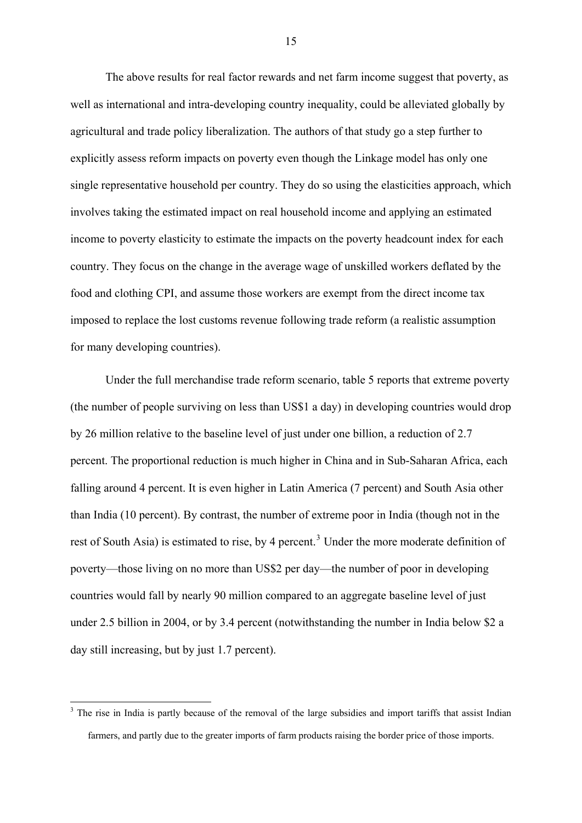<span id="page-16-0"></span>The above results for real factor rewards and net farm income suggest that poverty, as well as international and intra-developing country inequality, could be alleviated globally by agricultural and trade policy liberalization. The authors of that study go a step further to explicitly assess reform impacts on poverty even though the Linkage model has only one single representative household per country. They do so using the elasticities approach, which involves taking the estimated impact on real household income and applying an estimated income to poverty elasticity to estimate the impacts on the poverty headcount index for each country. They focus on the change in the average wage of unskilled workers deflated by the food and clothing CPI, and assume those workers are exempt from the direct income tax imposed to replace the lost customs revenue following trade reform (a realistic assumption for many developing countries).

Under the full merchandise trade reform scenario, table 5 reports that extreme poverty (the number of people surviving on less than US\$1 a day) in developing countries would drop by 26 million relative to the baseline level of just under one billion, a reduction of 2.7 percent. The proportional reduction is much higher in China and in Sub-Saharan Africa, each falling around 4 percent. It is even higher in Latin America (7 percent) and South Asia other than India (10 percent). By contrast, the number of extreme poor in India (though not in the rest of South Asia) is estimated to rise, by 4 percent.<sup>[3](#page-16-0)</sup> Under the more moderate definition of poverty—those living on no more than US\$2 per day—the number of poor in developing countries would fall by nearly 90 million compared to an aggregate baseline level of just under 2.5 billion in 2004, or by 3.4 percent (notwithstanding the number in India below \$2 a day still increasing, but by just 1.7 percent).

1

<sup>&</sup>lt;sup>3</sup> The rise in India is partly because of the removal of the large subsidies and import tariffs that assist Indian farmers, and partly due to the greater imports of farm products raising the border price of those imports.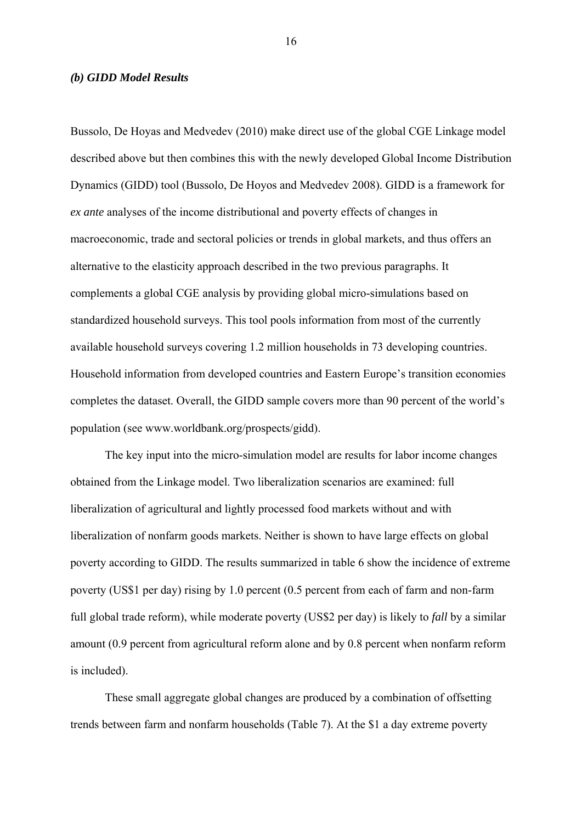#### *(b) GIDD Model Results*

Bussolo, De Hoyas and Medvedev (2010) make direct use of the global CGE Linkage model described above but then combines this with the newly developed Global Income Distribution Dynamics (GIDD) tool (Bussolo, De Hoyos and Medvedev 2008). GIDD is a framework for *ex ante* analyses of the income distributional and poverty effects of changes in macroeconomic, trade and sectoral policies or trends in global markets, and thus offers an alternative to the elasticity approach described in the two previous paragraphs. It complements a global CGE analysis by providing global micro-simulations based on standardized household surveys. This tool pools information from most of the currently available household surveys covering 1.2 million households in 73 developing countries. Household information from developed countries and Eastern Europe's transition economies completes the dataset. Overall, the GIDD sample covers more than 90 percent of the world's population (see www.worldbank.org/prospects/gidd).

The key input into the micro-simulation model are results for labor income changes obtained from the Linkage model. Two liberalization scenarios are examined: full liberalization of agricultural and lightly processed food markets without and with liberalization of nonfarm goods markets. Neither is shown to have large effects on global poverty according to GIDD. The results summarized in table 6 show the incidence of extreme poverty (US\$1 per day) rising by 1.0 percent (0.5 percent from each of farm and non-farm full global trade reform), while moderate poverty (US\$2 per day) is likely to *fall* by a similar amount (0.9 percent from agricultural reform alone and by 0.8 percent when nonfarm reform is included).

These small aggregate global changes are produced by a combination of offsetting trends between farm and nonfarm households (Table 7). At the \$1 a day extreme poverty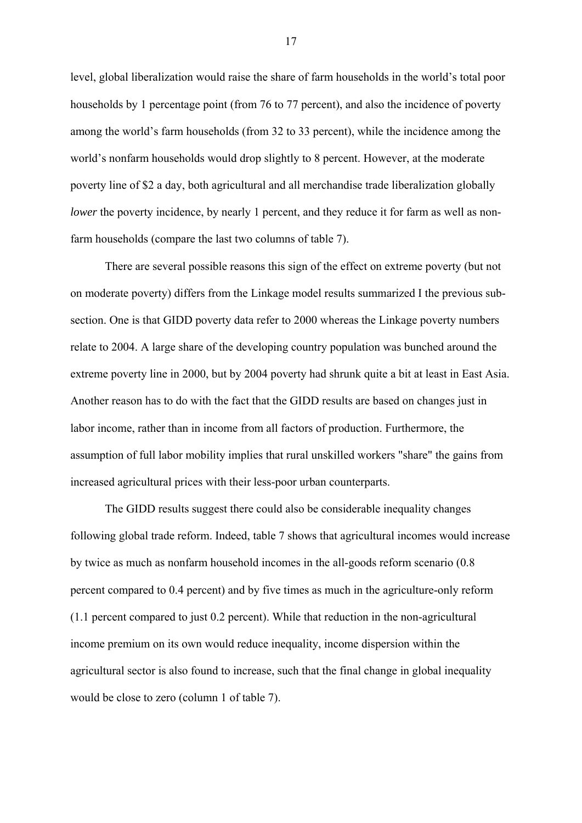level, global liberalization would raise the share of farm households in the world's total poor households by 1 percentage point (from 76 to 77 percent), and also the incidence of poverty among the world's farm households (from 32 to 33 percent), while the incidence among the world's nonfarm households would drop slightly to 8 percent. However, at the moderate poverty line of \$2 a day, both agricultural and all merchandise trade liberalization globally *lower* the poverty incidence, by nearly 1 percent, and they reduce it for farm as well as nonfarm households (compare the last two columns of table 7).

There are several possible reasons this sign of the effect on extreme poverty (but not on moderate poverty) differs from the Linkage model results summarized I the previous subsection. One is that GIDD poverty data refer to 2000 whereas the Linkage poverty numbers relate to 2004. A large share of the developing country population was bunched around the extreme poverty line in 2000, but by 2004 poverty had shrunk quite a bit at least in East Asia. Another reason has to do with the fact that the GIDD results are based on changes just in labor income, rather than in income from all factors of production. Furthermore, the assumption of full labor mobility implies that rural unskilled workers "share" the gains from increased agricultural prices with their less-poor urban counterparts.

The GIDD results suggest there could also be considerable inequality changes following global trade reform. Indeed, table 7 shows that agricultural incomes would increase by twice as much as nonfarm household incomes in the all-goods reform scenario (0.8 percent compared to 0.4 percent) and by five times as much in the agriculture-only reform (1.1 percent compared to just 0.2 percent). While that reduction in the non-agricultural income premium on its own would reduce inequality, income dispersion within the agricultural sector is also found to increase, such that the final change in global inequality would be close to zero (column 1 of table 7).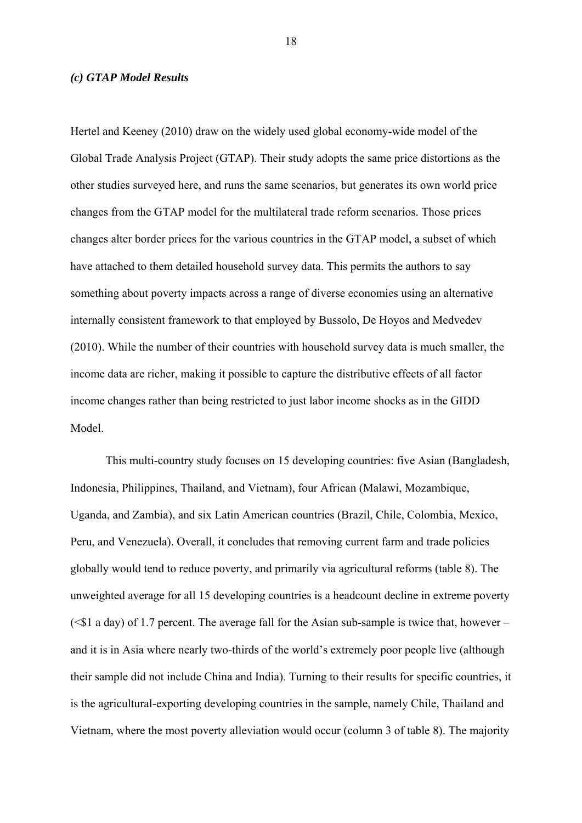#### *(c) GTAP Model Results*

Hertel and Keeney (2010) draw on the widely used global economy-wide model of the Global Trade Analysis Project (GTAP). Their study adopts the same price distortions as the other studies surveyed here, and runs the same scenarios, but generates its own world price changes from the GTAP model for the multilateral trade reform scenarios. Those prices changes alter border prices for the various countries in the GTAP model, a subset of which have attached to them detailed household survey data. This permits the authors to say something about poverty impacts across a range of diverse economies using an alternative internally consistent framework to that employed by Bussolo, De Hoyos and Medvedev (2010). While the number of their countries with household survey data is much smaller, the income data are richer, making it possible to capture the distributive effects of all factor income changes rather than being restricted to just labor income shocks as in the GIDD Model.

 This multi-country study focuses on 15 developing countries: five Asian (Bangladesh, Indonesia, Philippines, Thailand, and Vietnam), four African (Malawi, Mozambique, Uganda, and Zambia), and six Latin American countries (Brazil, Chile, Colombia, Mexico, Peru, and Venezuela). Overall, it concludes that removing current farm and trade policies globally would tend to reduce poverty, and primarily via agricultural reforms (table 8). The unweighted average for all 15 developing countries is a headcount decline in extreme poverty  $(\leq$ \$1 a day) of 1.7 percent. The average fall for the Asian sub-sample is twice that, however – and it is in Asia where nearly two-thirds of the world's extremely poor people live (although their sample did not include China and India). Turning to their results for specific countries, it is the agricultural-exporting developing countries in the sample, namely Chile, Thailand and Vietnam, where the most poverty alleviation would occur (column 3 of table 8). The majority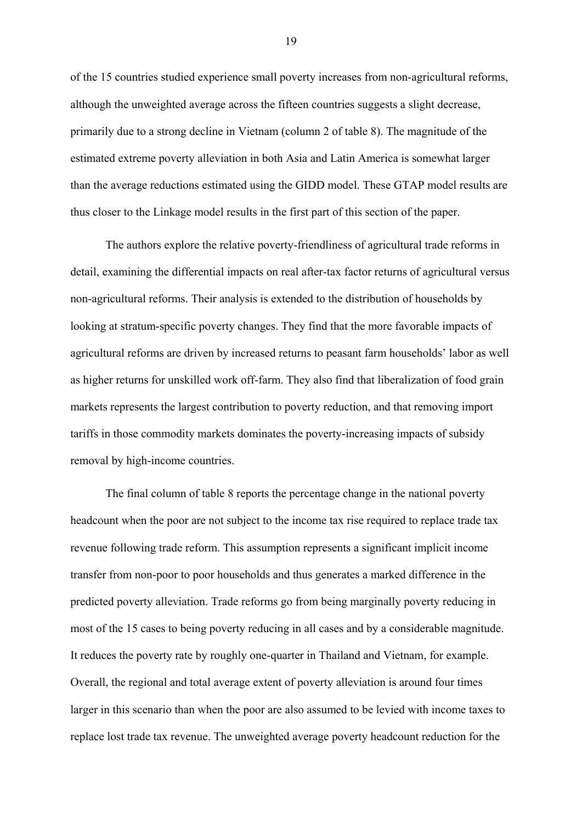of the 15 countries studied experience small poverty increases from non-agricultural reforms, although the unweighted average across the fifteen countries suggests a slight decrease, primarily due to a strong decline in Vietnam (column 2 of table 8). The magnitude of the estimated extreme poverty alleviation in both Asia and Latin America is somewhat larger than the average reductions estimated using the GIDD model. These GTAP model results are thus closer to the Linkage model results in the first part of this section of the paper.

 The authors explore the relative poverty-friendliness of agricultural trade reforms in detail, examining the differential impacts on real after-tax factor returns of agricultural versus non-agricultural reforms. Their analysis is extended to the distribution of households by looking at stratum-specific poverty changes. They find that the more favorable impacts of agricultural reforms are driven by increased returns to peasant farm households' labor as well as higher returns for unskilled work off-farm. They also find that liberalization of food grain markets represents the largest contribution to poverty reduction, and that removing import tariffs in those commodity markets dominates the poverty-increasing impacts of subsidy removal by high-income countries.

 The final column of table 8 reports the percentage change in the national poverty headcount when the poor are not subject to the income tax rise required to replace trade tax revenue following trade reform. This assumption represents a significant implicit income transfer from non-poor to poor households and thus generates a marked difference in the predicted poverty alleviation. Trade reforms go from being marginally poverty reducing in most of the 15 cases to being poverty reducing in all cases and by a considerable magnitude. It reduces the poverty rate by roughly one-quarter in Thailand and Vietnam, for example. Overall, the regional and total average extent of poverty alleviation is around four times larger in this scenario than when the poor are also assumed to be levied with income taxes to replace lost trade tax revenue. The unweighted average poverty headcount reduction for the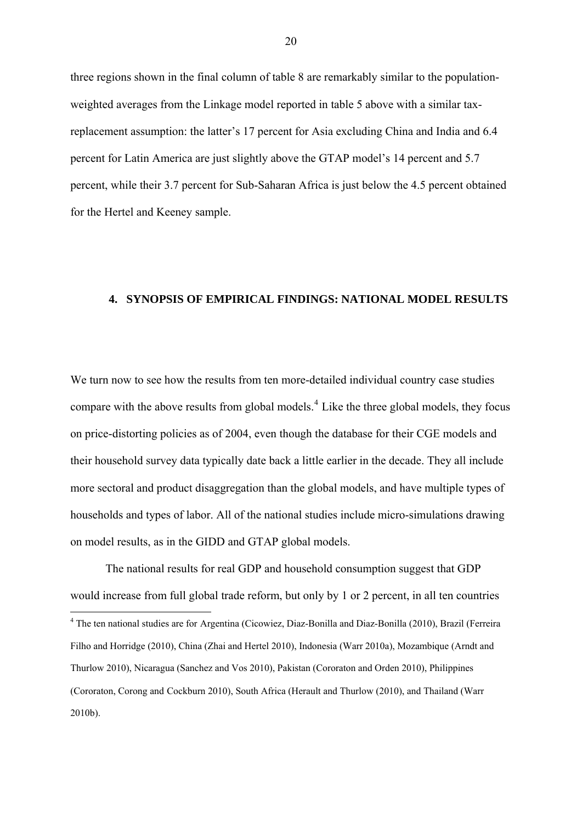<span id="page-21-0"></span>three regions shown in the final column of table 8 are remarkably similar to the populationweighted averages from the Linkage model reported in table 5 above with a similar taxreplacement assumption: the latter's 17 percent for Asia excluding China and India and 6.4 percent for Latin America are just slightly above the GTAP model's 14 percent and 5.7 percent, while their 3.7 percent for Sub-Saharan Africa is just below the 4.5 percent obtained for the Hertel and Keeney sample.

#### **4. SYNOPSIS OF EMPIRICAL FINDINGS: NATIONAL MODEL RESULTS**

We turn now to see how the results from ten more-detailed individual country case studies compare with the above results from global models.<sup>[4](#page-21-0)</sup> Like the three global models, they focus on price-distorting policies as of 2004, even though the database for their CGE models and their household survey data typically date back a little earlier in the decade. They all include more sectoral and product disaggregation than the global models, and have multiple types of households and types of labor. All of the national studies include micro-simulations drawing on model results, as in the GIDD and GTAP global models.

 The national results for real GDP and household consumption suggest that GDP would increase from full global trade reform, but only by 1 or 2 percent, in all ten countries 1 <sup>4</sup> The ten national studies are for Argentina (Cicowiez, Diaz-Bonilla and Diaz-Bonilla (2010), Brazil (Ferreira Filho and Horridge (2010), China (Zhai and Hertel 2010), Indonesia (Warr 2010a), Mozambique (Arndt and Thurlow 2010), Nicaragua (Sanchez and Vos 2010), Pakistan (Cororaton and Orden 2010), Philippines (Cororaton, Corong and Cockburn 2010), South Africa (Herault and Thurlow (2010), and Thailand (Warr 2010b).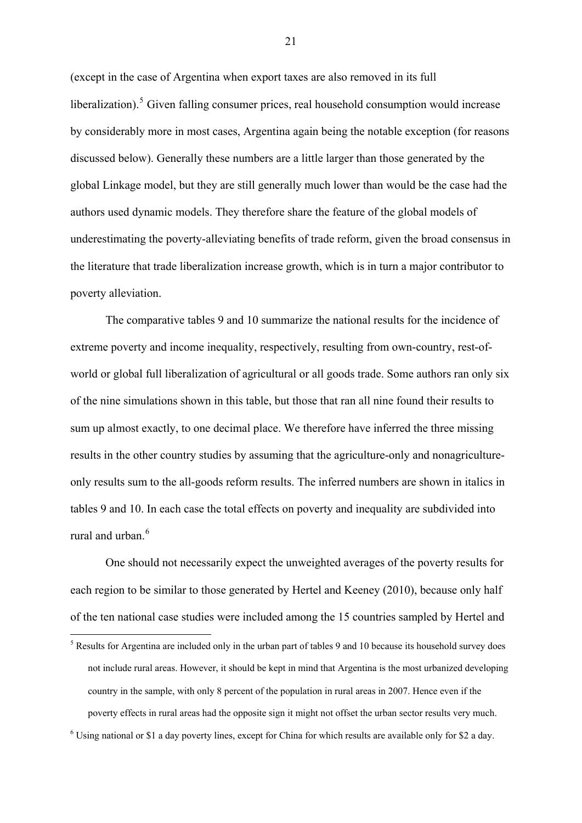<span id="page-22-0"></span>(except in the case of Argentina when export taxes are also removed in its full liberalization). $5$  Given falling consumer prices, real household consumption would increase by considerably more in most cases, Argentina again being the notable exception (for reasons discussed below). Generally these numbers are a little larger than those generated by the global Linkage model, but they are still generally much lower than would be the case had the authors used dynamic models. They therefore share the feature of the global models of underestimating the poverty-alleviating benefits of trade reform, given the broad consensus in the literature that trade liberalization increase growth, which is in turn a major contributor to poverty alleviation.

The comparative tables 9 and 10 summarize the national results for the incidence of extreme poverty and income inequality, respectively, resulting from own-country, rest-ofworld or global full liberalization of agricultural or all goods trade. Some authors ran only six of the nine simulations shown in this table, but those that ran all nine found their results to sum up almost exactly, to one decimal place. We therefore have inferred the three missing results in the other country studies by assuming that the agriculture-only and nonagricultureonly results sum to the all-goods reform results. The inferred numbers are shown in italics in tables 9 and 10. In each case the total effects on poverty and inequality are subdivided into rural and urban <sup>[6](#page-22-0)</sup>

One should not necessarily expect the unweighted averages of the poverty results for each region to be similar to those generated by Hertel and Keeney (2010), because only half of the ten national case studies were included among the 15 countries sampled by Hertel and

<sup>&</sup>lt;sup>5</sup> Results for Argentina are included only in the urban part of tables 9 and 10 because its household survey does not include rural areas. However, it should be kept in mind that Argentina is the most urbanized developing country in the sample, with only 8 percent of the population in rural areas in 2007. Hence even if the poverty effects in rural areas had the opposite sign it might not offset the urban sector results very much.

 $6$  Using national or \$1 a day poverty lines, except for China for which results are available only for \$2 a day.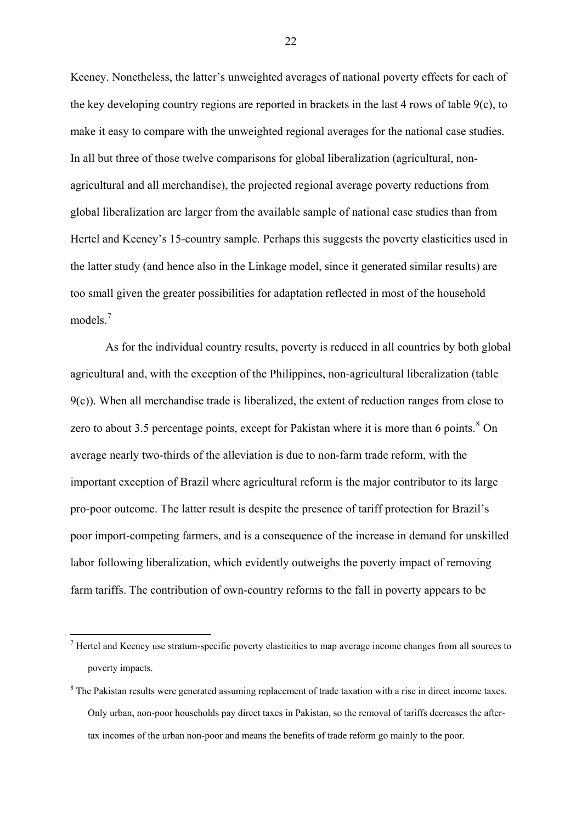<span id="page-23-0"></span>Keeney. Nonetheless, the latter's unweighted averages of national poverty effects for each of the key developing country regions are reported in brackets in the last 4 rows of table 9(c), to make it easy to compare with the unweighted regional averages for the national case studies. In all but three of those twelve comparisons for global liberalization (agricultural, nonagricultural and all merchandise), the projected regional average poverty reductions from global liberalization are larger from the available sample of national case studies than from Hertel and Keeney's 15-country sample. Perhaps this suggests the poverty elasticities used in the latter study (and hence also in the Linkage model, since it generated similar results) are too small given the greater possibilities for adaptation reflected in most of the household models.<sup>[7](#page-23-0)</sup>

As for the individual country results, poverty is reduced in all countries by both global agricultural and, with the exception of the Philippines, non-agricultural liberalization (table  $9(c)$ ). When all merchandise trade is liberalized, the extent of reduction ranges from close to zero to about 3.5 percentage points, except for Pakistan where it is more than 6 points. <sup>[8](#page-23-0)</sup> On average nearly two-thirds of the alleviation is due to non-farm trade reform, with the important exception of Brazil where agricultural reform is the major contributor to its large pro-poor outcome. The latter result is despite the presence of tariff protection for Brazil's poor import-competing farmers, and is a consequence of the increase in demand for unskilled labor following liberalization, which evidently outweighs the poverty impact of removing farm tariffs. The contribution of own-country reforms to the fall in poverty appears to be

1

 $<sup>7</sup>$  Hertel and Keeney use stratum-specific poverty elasticities to map average income changes from all sources to</sup> poverty impacts.

<sup>&</sup>lt;sup>8</sup> The Pakistan results were generated assuming replacement of trade taxation with a rise in direct income taxes. Only urban, non-poor households pay direct taxes in Pakistan, so the removal of tariffs decreases the aftertax incomes of the urban non-poor and means the benefits of trade reform go mainly to the poor.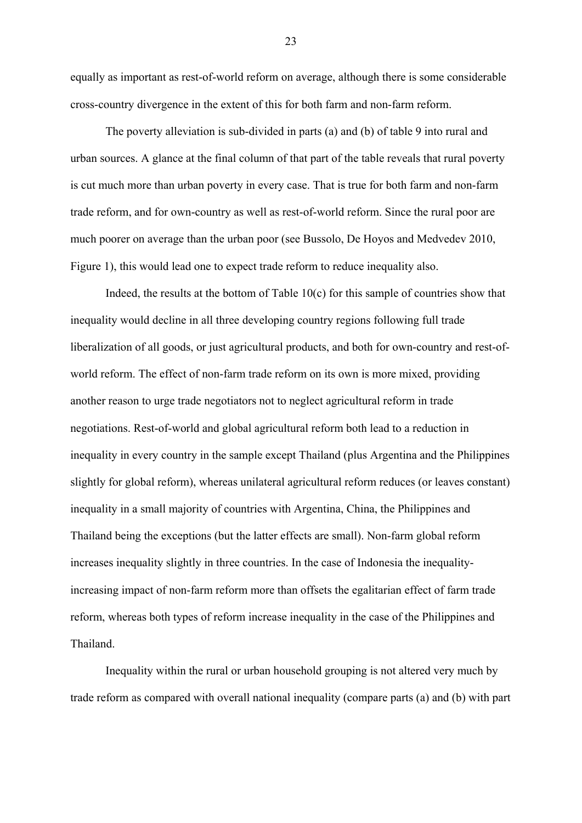equally as important as rest-of-world reform on average, although there is some considerable cross-country divergence in the extent of this for both farm and non-farm reform.

The poverty alleviation is sub-divided in parts (a) and (b) of table 9 into rural and urban sources. A glance at the final column of that part of the table reveals that rural poverty is cut much more than urban poverty in every case. That is true for both farm and non-farm trade reform, and for own-country as well as rest-of-world reform. Since the rural poor are much poorer on average than the urban poor (see Bussolo, De Hoyos and Medvedev 2010, Figure 1), this would lead one to expect trade reform to reduce inequality also.

Indeed, the results at the bottom of Table 10(c) for this sample of countries show that inequality would decline in all three developing country regions following full trade liberalization of all goods, or just agricultural products, and both for own-country and rest-ofworld reform. The effect of non-farm trade reform on its own is more mixed, providing another reason to urge trade negotiators not to neglect agricultural reform in trade negotiations. Rest-of-world and global agricultural reform both lead to a reduction in inequality in every country in the sample except Thailand (plus Argentina and the Philippines slightly for global reform), whereas unilateral agricultural reform reduces (or leaves constant) inequality in a small majority of countries with Argentina, China, the Philippines and Thailand being the exceptions (but the latter effects are small). Non-farm global reform increases inequality slightly in three countries. In the case of Indonesia the inequalityincreasing impact of non-farm reform more than offsets the egalitarian effect of farm trade reform, whereas both types of reform increase inequality in the case of the Philippines and Thailand.

Inequality within the rural or urban household grouping is not altered very much by trade reform as compared with overall national inequality (compare parts (a) and (b) with part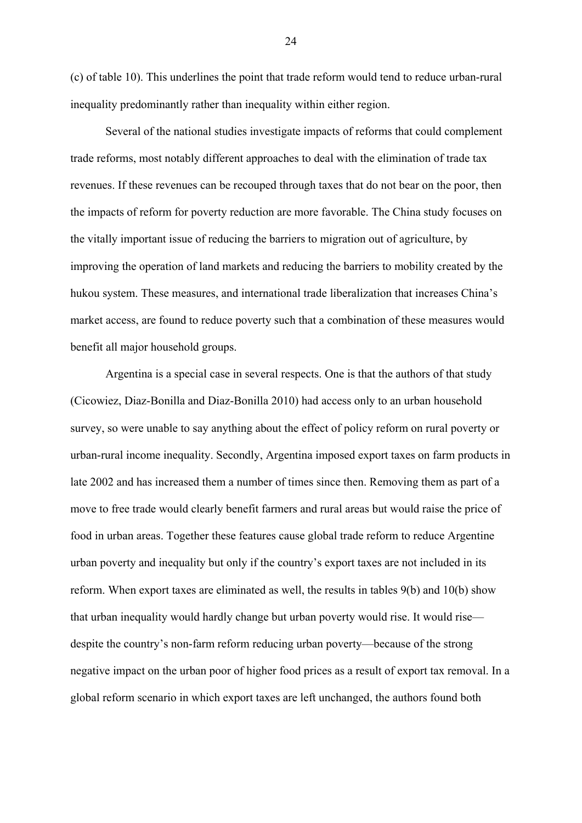(c) of table 10). This underlines the point that trade reform would tend to reduce urban-rural inequality predominantly rather than inequality within either region.

Several of the national studies investigate impacts of reforms that could complement trade reforms, most notably different approaches to deal with the elimination of trade tax revenues. If these revenues can be recouped through taxes that do not bear on the poor, then the impacts of reform for poverty reduction are more favorable. The China study focuses on the vitally important issue of reducing the barriers to migration out of agriculture, by improving the operation of land markets and reducing the barriers to mobility created by the hukou system. These measures, and international trade liberalization that increases China's market access, are found to reduce poverty such that a combination of these measures would benefit all major household groups.

Argentina is a special case in several respects. One is that the authors of that study (Cicowiez, Diaz-Bonilla and Diaz-Bonilla 2010) had access only to an urban household survey, so were unable to say anything about the effect of policy reform on rural poverty or urban-rural income inequality. Secondly, Argentina imposed export taxes on farm products in late 2002 and has increased them a number of times since then. Removing them as part of a move to free trade would clearly benefit farmers and rural areas but would raise the price of food in urban areas. Together these features cause global trade reform to reduce Argentine urban poverty and inequality but only if the country's export taxes are not included in its reform. When export taxes are eliminated as well, the results in tables 9(b) and 10(b) show that urban inequality would hardly change but urban poverty would rise. It would rise despite the country's non-farm reform reducing urban poverty—because of the strong negative impact on the urban poor of higher food prices as a result of export tax removal. In a global reform scenario in which export taxes are left unchanged, the authors found both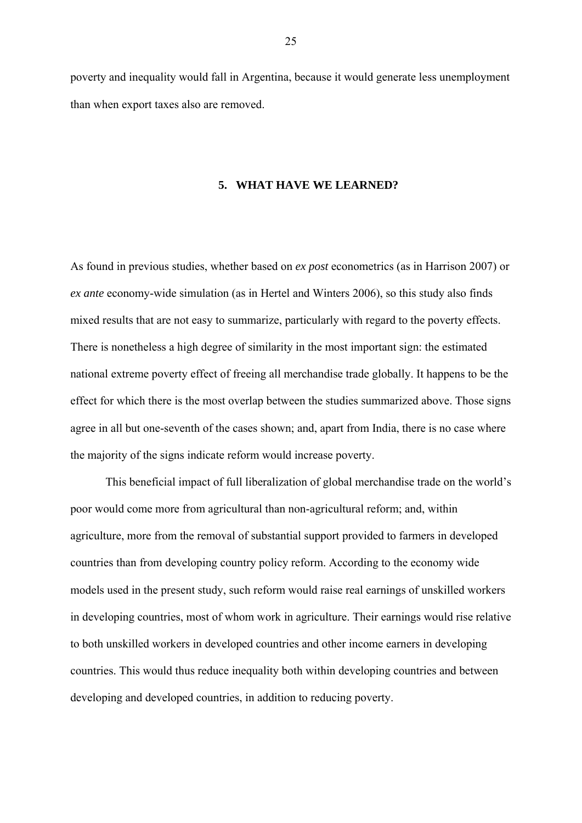poverty and inequality would fall in Argentina, because it would generate less unemployment than when export taxes also are removed.

#### **5. WHAT HAVE WE LEARNED?**

As found in previous studies, whether based on *ex post* econometrics (as in Harrison 2007) or *ex ante* economy-wide simulation (as in Hertel and Winters 2006), so this study also finds mixed results that are not easy to summarize, particularly with regard to the poverty effects. There is nonetheless a high degree of similarity in the most important sign: the estimated national extreme poverty effect of freeing all merchandise trade globally. It happens to be the effect for which there is the most overlap between the studies summarized above. Those signs agree in all but one-seventh of the cases shown; and, apart from India, there is no case where the majority of the signs indicate reform would increase poverty.

 This beneficial impact of full liberalization of global merchandise trade on the world's poor would come more from agricultural than non-agricultural reform; and, within agriculture, more from the removal of substantial support provided to farmers in developed countries than from developing country policy reform. According to the economy wide models used in the present study, such reform would raise real earnings of unskilled workers in developing countries, most of whom work in agriculture. Their earnings would rise relative to both unskilled workers in developed countries and other income earners in developing countries. This would thus reduce inequality both within developing countries and between developing and developed countries, in addition to reducing poverty.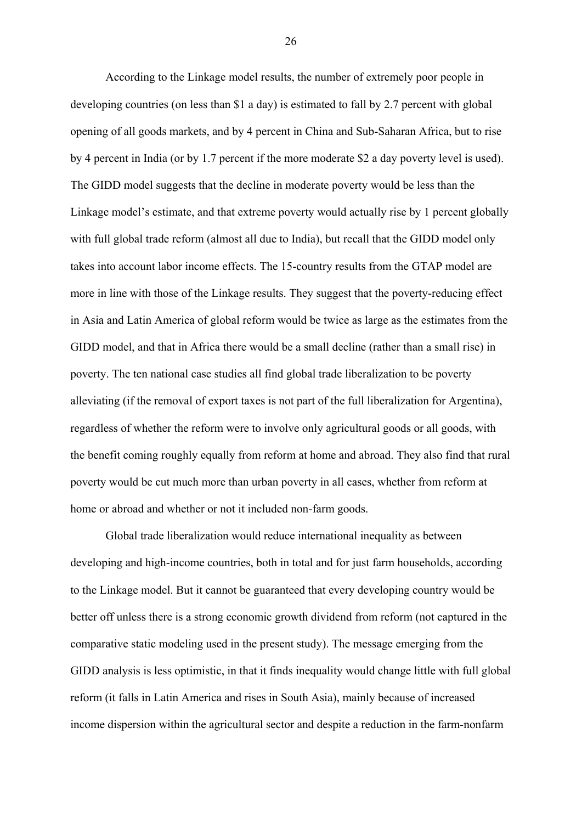According to the Linkage model results, the number of extremely poor people in developing countries (on less than \$1 a day) is estimated to fall by 2.7 percent with global opening of all goods markets, and by 4 percent in China and Sub-Saharan Africa, but to rise by 4 percent in India (or by 1.7 percent if the more moderate \$2 a day poverty level is used). The GIDD model suggests that the decline in moderate poverty would be less than the Linkage model's estimate, and that extreme poverty would actually rise by 1 percent globally with full global trade reform (almost all due to India), but recall that the GIDD model only takes into account labor income effects. The 15-country results from the GTAP model are more in line with those of the Linkage results. They suggest that the poverty-reducing effect in Asia and Latin America of global reform would be twice as large as the estimates from the GIDD model, and that in Africa there would be a small decline (rather than a small rise) in poverty. The ten national case studies all find global trade liberalization to be poverty alleviating (if the removal of export taxes is not part of the full liberalization for Argentina), regardless of whether the reform were to involve only agricultural goods or all goods, with the benefit coming roughly equally from reform at home and abroad. They also find that rural poverty would be cut much more than urban poverty in all cases, whether from reform at home or abroad and whether or not it included non-farm goods.

 Global trade liberalization would reduce international inequality as between developing and high-income countries, both in total and for just farm households, according to the Linkage model. But it cannot be guaranteed that every developing country would be better off unless there is a strong economic growth dividend from reform (not captured in the comparative static modeling used in the present study). The message emerging from the GIDD analysis is less optimistic, in that it finds inequality would change little with full global reform (it falls in Latin America and rises in South Asia), mainly because of increased income dispersion within the agricultural sector and despite a reduction in the farm-nonfarm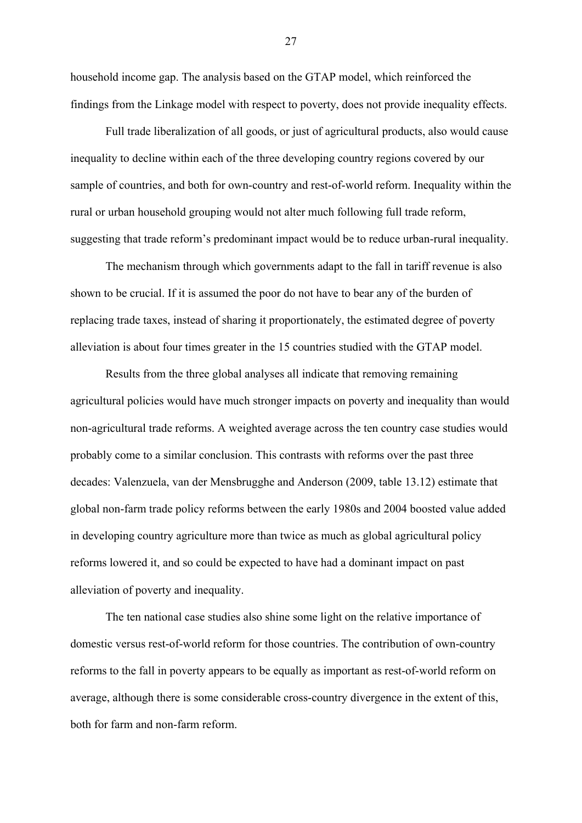household income gap. The analysis based on the GTAP model, which reinforced the findings from the Linkage model with respect to poverty, does not provide inequality effects.

 Full trade liberalization of all goods, or just of agricultural products, also would cause inequality to decline within each of the three developing country regions covered by our sample of countries, and both for own-country and rest-of-world reform. Inequality within the rural or urban household grouping would not alter much following full trade reform, suggesting that trade reform's predominant impact would be to reduce urban-rural inequality.

 The mechanism through which governments adapt to the fall in tariff revenue is also shown to be crucial. If it is assumed the poor do not have to bear any of the burden of replacing trade taxes, instead of sharing it proportionately, the estimated degree of poverty alleviation is about four times greater in the 15 countries studied with the GTAP model.

 Results from the three global analyses all indicate that removing remaining agricultural policies would have much stronger impacts on poverty and inequality than would non-agricultural trade reforms. A weighted average across the ten country case studies would probably come to a similar conclusion. This contrasts with reforms over the past three decades: Valenzuela, van der Mensbrugghe and Anderson (2009, table 13.12) estimate that global non-farm trade policy reforms between the early 1980s and 2004 boosted value added in developing country agriculture more than twice as much as global agricultural policy reforms lowered it, and so could be expected to have had a dominant impact on past alleviation of poverty and inequality.

 The ten national case studies also shine some light on the relative importance of domestic versus rest-of-world reform for those countries. The contribution of own-country reforms to the fall in poverty appears to be equally as important as rest-of-world reform on average, although there is some considerable cross-country divergence in the extent of this, both for farm and non-farm reform.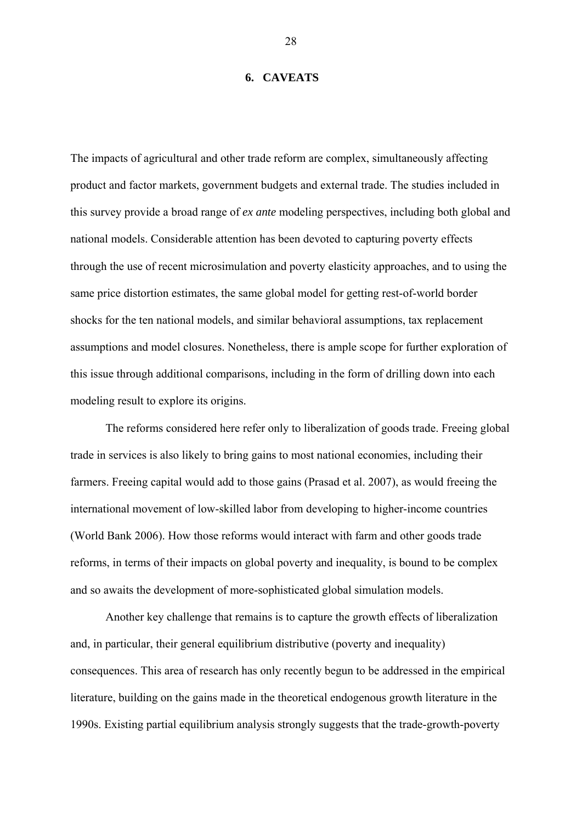#### **6. CAVEATS**

The impacts of agricultural and other trade reform are complex, simultaneously affecting product and factor markets, government budgets and external trade. The studies included in this survey provide a broad range of *ex ante* modeling perspectives, including both global and national models. Considerable attention has been devoted to capturing poverty effects through the use of recent microsimulation and poverty elasticity approaches, and to using the same price distortion estimates, the same global model for getting rest-of-world border shocks for the ten national models, and similar behavioral assumptions, tax replacement assumptions and model closures. Nonetheless, there is ample scope for further exploration of this issue through additional comparisons, including in the form of drilling down into each modeling result to explore its origins.

 The reforms considered here refer only to liberalization of goods trade. Freeing global trade in services is also likely to bring gains to most national economies, including their farmers. Freeing capital would add to those gains (Prasad et al. 2007), as would freeing the international movement of low-skilled labor from developing to higher-income countries (World Bank 2006). How those reforms would interact with farm and other goods trade reforms, in terms of their impacts on global poverty and inequality, is bound to be complex and so awaits the development of more-sophisticated global simulation models.

 Another key challenge that remains is to capture the growth effects of liberalization and, in particular, their general equilibrium distributive (poverty and inequality) consequences. This area of research has only recently begun to be addressed in the empirical literature, building on the gains made in the theoretical endogenous growth literature in the 1990s. Existing partial equilibrium analysis strongly suggests that the trade-growth-poverty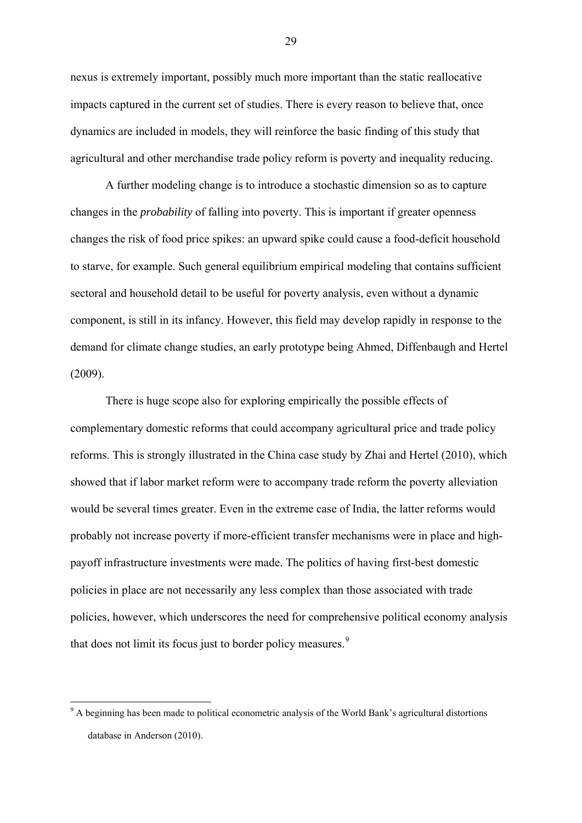<span id="page-30-0"></span>nexus is extremely important, possibly much more important than the static reallocative impacts captured in the current set of studies. There is every reason to believe that, once dynamics are included in models, they will reinforce the basic finding of this study that agricultural and other merchandise trade policy reform is poverty and inequality reducing.

 A further modeling change is to introduce a stochastic dimension so as to capture changes in the *probability* of falling into poverty. This is important if greater openness changes the risk of food price spikes: an upward spike could cause a food-deficit household to starve, for example. Such general equilibrium empirical modeling that contains sufficient sectoral and household detail to be useful for poverty analysis, even without a dynamic component, is still in its infancy. However, this field may develop rapidly in response to the demand for climate change studies, an early prototype being Ahmed, Diffenbaugh and Hertel (2009).

There is huge scope also for exploring empirically the possible effects of complementary domestic reforms that could accompany agricultural price and trade policy reforms. This is strongly illustrated in the China case study by Zhai and Hertel (2010), which showed that if labor market reform were to accompany trade reform the poverty alleviation would be several times greater. Even in the extreme case of India, the latter reforms would probably not increase poverty if more-efficient transfer mechanisms were in place and highpayoff infrastructure investments were made. The politics of having first-best domestic policies in place are not necessarily any less complex than those associated with trade policies, however, which underscores the need for comprehensive political economy analysis that does not limit its focus just to border policy measures.<sup>[9](#page-30-0)</sup>

1

<sup>&</sup>lt;sup>9</sup> A beginning has been made to political econometric analysis of the World Bank's agricultural distortions database in Anderson (2010).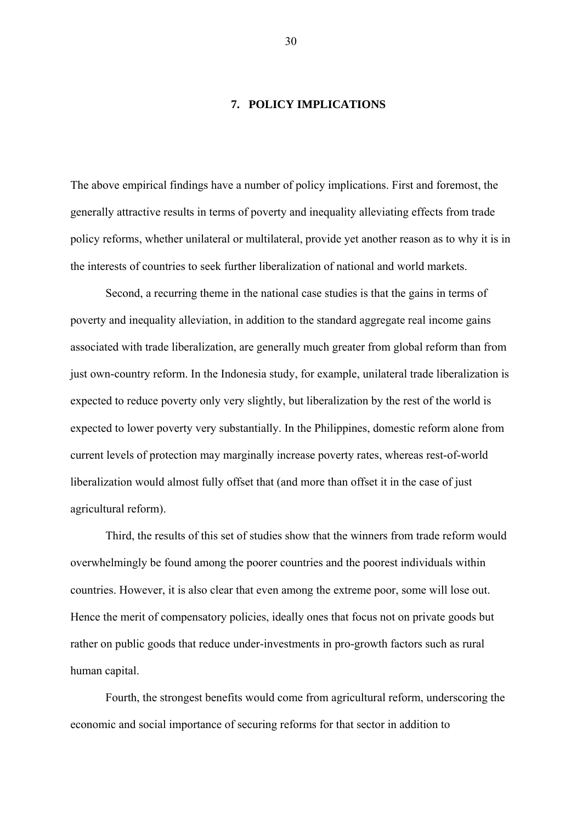#### **7. POLICY IMPLICATIONS**

The above empirical findings have a number of policy implications. First and foremost, the generally attractive results in terms of poverty and inequality alleviating effects from trade policy reforms, whether unilateral or multilateral, provide yet another reason as to why it is in the interests of countries to seek further liberalization of national and world markets.

Second, a recurring theme in the national case studies is that the gains in terms of poverty and inequality alleviation, in addition to the standard aggregate real income gains associated with trade liberalization, are generally much greater from global reform than from just own-country reform. In the Indonesia study, for example, unilateral trade liberalization is expected to reduce poverty only very slightly, but liberalization by the rest of the world is expected to lower poverty very substantially. In the Philippines, domestic reform alone from current levels of protection may marginally increase poverty rates, whereas rest-of-world liberalization would almost fully offset that (and more than offset it in the case of just agricultural reform).

Third, the results of this set of studies show that the winners from trade reform would overwhelmingly be found among the poorer countries and the poorest individuals within countries. However, it is also clear that even among the extreme poor, some will lose out. Hence the merit of compensatory policies, ideally ones that focus not on private goods but rather on public goods that reduce under-investments in pro-growth factors such as rural human capital.

Fourth, the strongest benefits would come from agricultural reform, underscoring the economic and social importance of securing reforms for that sector in addition to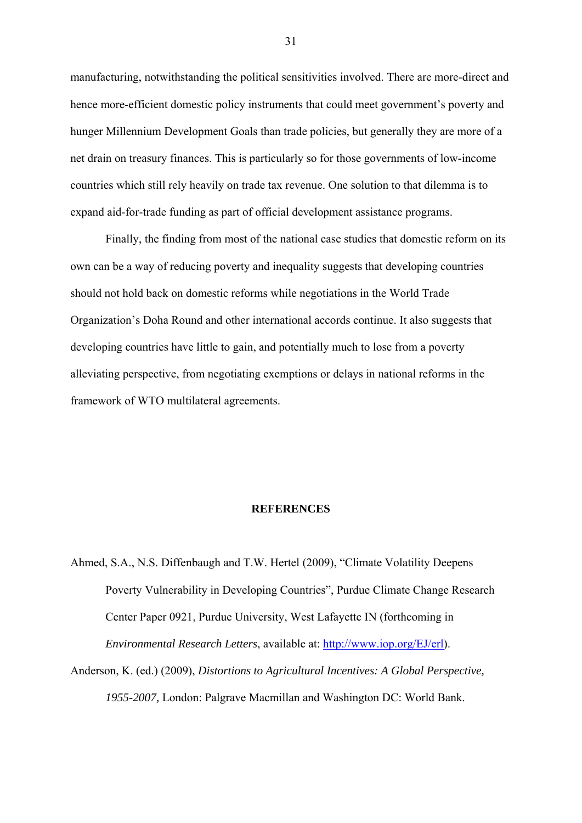manufacturing, notwithstanding the political sensitivities involved. There are more-direct and hence more-efficient domestic policy instruments that could meet government's poverty and hunger Millennium Development Goals than trade policies, but generally they are more of a net drain on treasury finances. This is particularly so for those governments of low-income countries which still rely heavily on trade tax revenue. One solution to that dilemma is to expand aid-for-trade funding as part of official development assistance programs.

 Finally, the finding from most of the national case studies that domestic reform on its own can be a way of reducing poverty and inequality suggests that developing countries should not hold back on domestic reforms while negotiations in the World Trade Organization's Doha Round and other international accords continue. It also suggests that developing countries have little to gain, and potentially much to lose from a poverty alleviating perspective, from negotiating exemptions or delays in national reforms in the framework of WTO multilateral agreements.

#### **REFERENCES**

Ahmed, S.A., N.S. Diffenbaugh and T.W. Hertel (2009), "Climate Volatility Deepens Poverty Vulnerability in Developing Countries", Purdue Climate Change Research Center Paper 0921, Purdue University, West Lafayette IN (forthcoming in *Environmental Research Letters*, available at: [http://www.iop.org/EJ/erl\)](http://www.iop.org/EJ/erl).

Anderson, K. (ed.) (2009), *Distortions to Agricultural Incentives: A Global Perspective, 1955-2007,* London: Palgrave Macmillan and Washington DC: World Bank.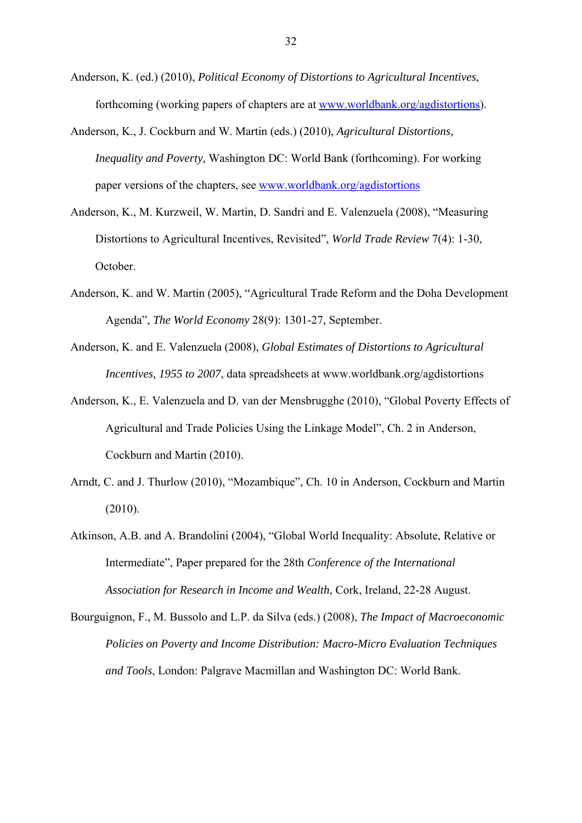- Anderson, K. (ed.) (2010), *Political Economy of Distortions to Agricultural Incentives*, forthcoming (working papers of chapters are at [www.worldbank.org/agdistortions](http://www.worldbank.org/agdistortions)).
- Anderson, K., J. Cockburn and W. Martin (eds.) (2010), *Agricultural Distortions, Inequality and Poverty,* Washington DC: World Bank (forthcoming). For working paper versions of the chapters, see [www.worldbank.org/agdistortions](http://www.worldbank.org/agdistortions)
- Anderson, K., M. Kurzweil, W. Martin, D. Sandri and E. Valenzuela (2008), "Measuring Distortions to Agricultural Incentives, Revisited", *World Trade Review* 7(4): 1-30, October.
- Anderson, K. and W. Martin (2005), "Agricultural Trade Reform and the Doha Development Agenda", *The World Economy* 28(9): 1301-27, September.
- Anderson, K. and E. Valenzuela (2008), *Global Estimates of Distortions to Agricultural Incentives, 1955 to 2007*, data spreadsheets at www.worldbank.org/agdistortions
- Anderson, K., E. Valenzuela and D. van der Mensbrugghe (2010), "Global Poverty Effects of Agricultural and Trade Policies Using the Linkage Model", Ch. 2 in Anderson, Cockburn and Martin (2010).
- Arndt, C. and J. Thurlow (2010), "Mozambique", Ch. 10 in Anderson, Cockburn and Martin (2010).
- Atkinson, A.B. and A. Brandolini (2004), "Global World Inequality: Absolute, Relative or Intermediate", Paper prepared for the 28th *Conference of the International Association for Research in Income and Wealth*, Cork, Ireland, 22-28 August.
- Bourguignon, F., M. Bussolo and L.P. da Silva (eds.) (2008), *The Impact of Macroeconomic Policies on Poverty and Income Distribution: Macro-Micro Evaluation Techniques and Tools*, London: Palgrave Macmillan and Washington DC: World Bank.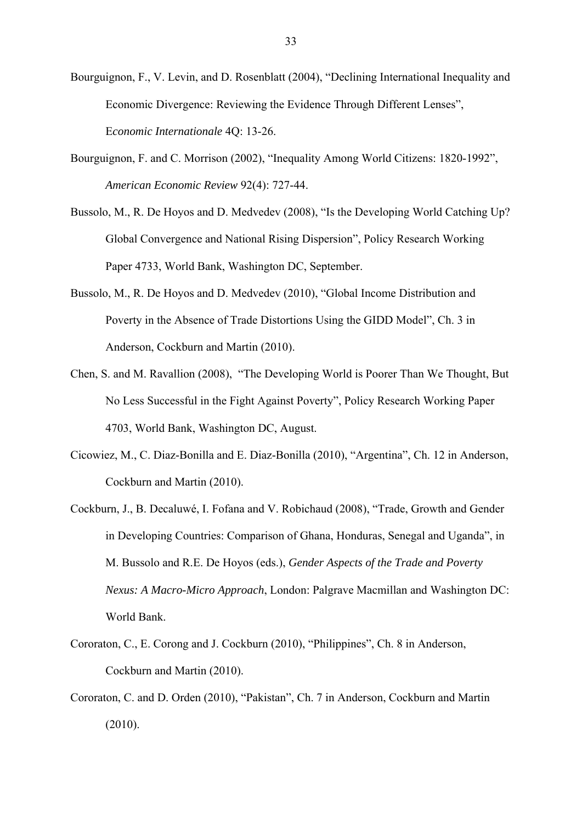Bourguignon, F., V. Levin, and D. Rosenblatt (2004), "Declining International Inequality and Economic Divergence: Reviewing the Evidence Through Different Lenses", E*conomic Internationale* 4Q: 13-26.

- Bourguignon, F. and C. Morrison (2002), "Inequality Among World Citizens: 1820-1992", *American Economic Review* 92(4): 727-44.
- Bussolo, M., R. De Hoyos and D. Medvedev (2008), "Is the Developing World Catching Up? Global Convergence and National Rising Dispersion", Policy Research Working Paper 4733, World Bank, Washington DC, September.
- Bussolo, M., R. De Hoyos and D. Medvedev (2010), "Global Income Distribution and Poverty in the Absence of Trade Distortions Using the GIDD Model", Ch. 3 in Anderson, Cockburn and Martin (2010).
- Chen, S. and M. Ravallion (2008), "The Developing World is Poorer Than We Thought, But No Less Successful in the Fight Against Poverty", Policy Research Working Paper 4703, World Bank, Washington DC, August.
- Cicowiez, M., C. Diaz-Bonilla and E. Diaz-Bonilla (2010), "Argentina", Ch. 12 in Anderson, Cockburn and Martin (2010).
- Cockburn, J., B. Decaluwé, I. Fofana and V. Robichaud (2008), "Trade, Growth and Gender in Developing Countries: Comparison of Ghana, Honduras, Senegal and Uganda", in M. Bussolo and R.E. De Hoyos (eds.), *Gender Aspects of the Trade and Poverty Nexus: A Macro-Micro Approach*, London: Palgrave Macmillan and Washington DC: World Bank.
- Cororaton, C., E. Corong and J. Cockburn (2010), "Philippines", Ch. 8 in Anderson, Cockburn and Martin (2010).
- Cororaton, C. and D. Orden (2010), "Pakistan", Ch. 7 in Anderson, Cockburn and Martin (2010).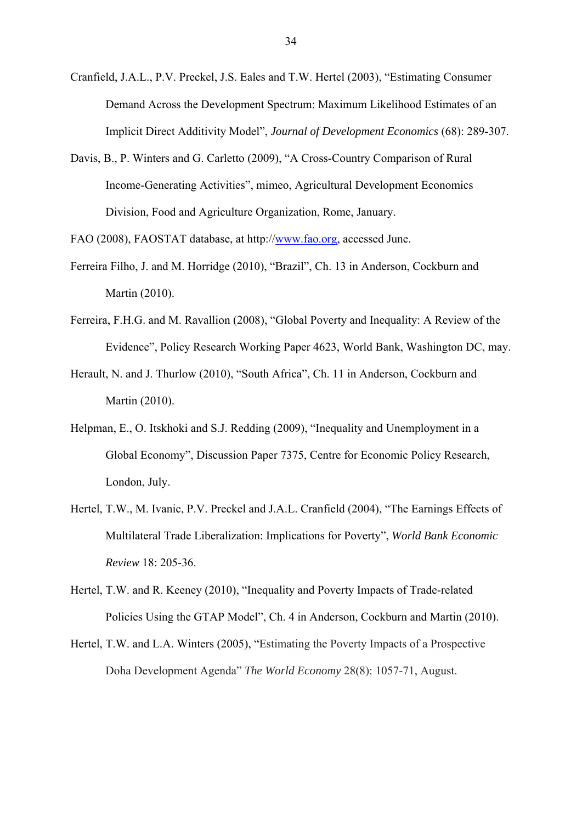Cranfield, J.A.L., P.V. Preckel, J.S. Eales and T.W. Hertel (2003), "Estimating Consumer Demand Across the Development Spectrum: Maximum Likelihood Estimates of an Implicit Direct Additivity Model", *Journal of Development Economics* (68): 289-307.

Davis, B., P. Winters and G. Carletto (2009), "A Cross-Country Comparison of Rural Income-Generating Activities", mimeo, Agricultural Development Economics Division, Food and Agriculture Organization, Rome, January.

FAO (2008), FAOSTAT database, at http://[www.fao.org,](http://www.fao.org/) accessed June.

- Ferreira Filho, J. and M. Horridge (2010), "Brazil", Ch. 13 in Anderson, Cockburn and Martin (2010).
- Ferreira, F.H.G. and M. Ravallion (2008), "Global Poverty and Inequality: A Review of the Evidence", Policy Research Working Paper 4623, World Bank, Washington DC, may.
- Herault, N. and J. Thurlow (2010), "South Africa", Ch. 11 in Anderson, Cockburn and Martin (2010).
- Helpman, E., O. Itskhoki and S.J. Redding (2009), "Inequality and Unemployment in a Global Economy", Discussion Paper 7375, Centre for Economic Policy Research, London, July.
- Hertel, T.W., M. Ivanic, P.V. Preckel and J.A.L. Cranfield (2004), "The Earnings Effects of Multilateral Trade Liberalization: Implications for Poverty", *World Bank Economic Review* 18: 205-36.
- Hertel, T.W. and R. Keeney (2010), "Inequality and Poverty Impacts of Trade-related Policies Using the GTAP Model", Ch. 4 in Anderson, Cockburn and Martin (2010).
- Hertel, T.W. and L.A. Winters (2005), "Estimating the Poverty Impacts of a Prospective Doha Development Agenda" *The World Economy* 28(8): 1057-71, August.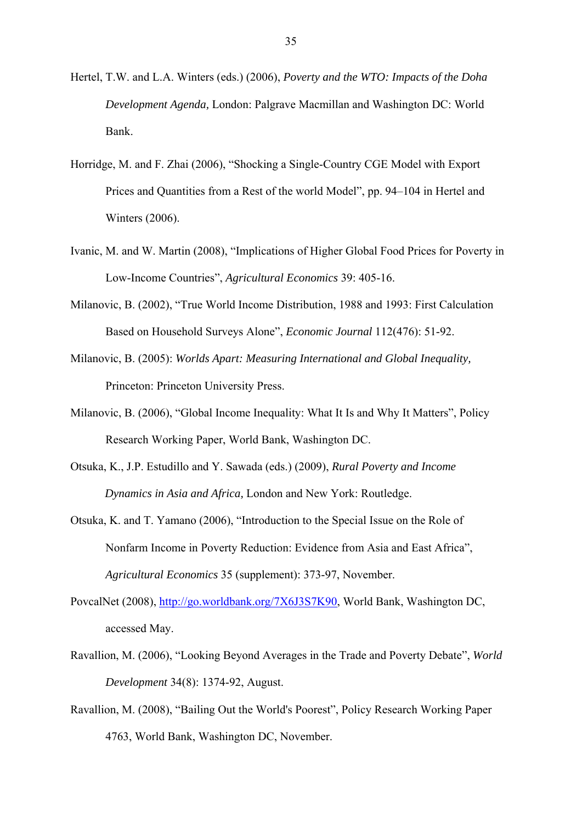- Hertel, T.W. and L.A. Winters (eds.) (2006), *Poverty and the WTO: Impacts of the Doha Development Agenda,* London: Palgrave Macmillan and Washington DC: World Bank.
- Horridge, M. and F. Zhai (2006), "Shocking a Single-Country CGE Model with Export Prices and Quantities from a Rest of the world Model", pp. 94–104 in Hertel and Winters (2006).
- Ivanic, M. and W. Martin (2008), "Implications of Higher Global Food Prices for Poverty in Low-Income Countries", *Agricultural Economics* 39: 405-16.
- Milanovic, B. (2002), "True World Income Distribution, 1988 and 1993: First Calculation Based on Household Surveys Alone", *Economic Journal* 112(476): 51-92.
- Milanovic, B. (2005): *Worlds Apart: Measuring International and Global Inequality,*  Princeton: Princeton University Press.
- Milanovic, B. (2006), "Global Income Inequality: What It Is and Why It Matters", Policy Research Working Paper, World Bank, Washington DC.
- Otsuka, K., J.P. Estudillo and Y. Sawada (eds.) (2009), *Rural Poverty and Income Dynamics in Asia and Africa,* London and New York: Routledge.
- Otsuka, K. and T. Yamano (2006), "Introduction to the Special Issue on the Role of Nonfarm Income in Poverty Reduction: Evidence from Asia and East Africa", *Agricultural Economics* 35 (supplement): 373-97, November.
- PovcalNet (2008), [http://go.worldbank.org/7X6J3S7K90,](http://go.worldbank.org/7X6J3S7K90) World Bank, Washington DC, accessed May.
- Ravallion, M. (2006), "Looking Beyond Averages in the Trade and Poverty Debate", *World Development* 34(8): 1374-92, August.
- Ravallion, M. (2008), "Bailing Out the World's Poorest", Policy Research Working Paper 4763, World Bank, Washington DC, November.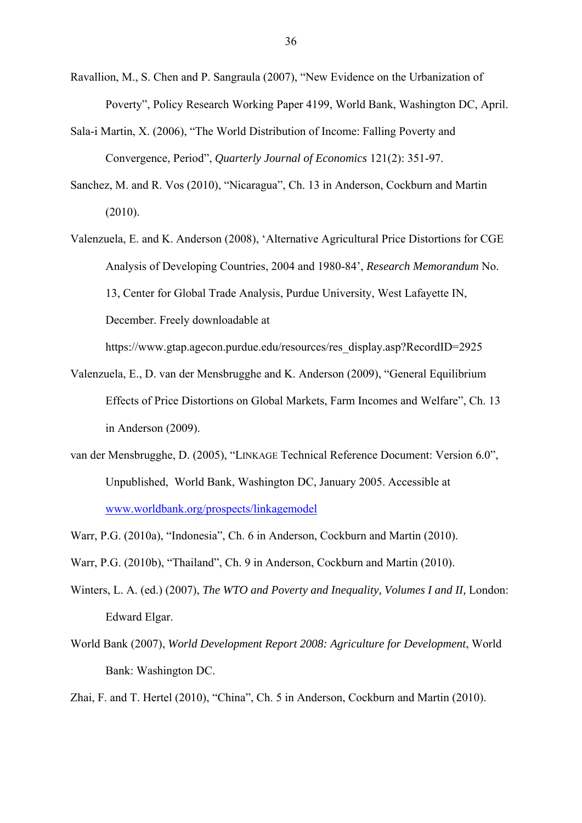- Ravallion, M., S. Chen and P. Sangraula (2007), "New Evidence on the Urbanization of Poverty", Policy Research Working Paper 4199, World Bank, Washington DC, April.
- Sala-i Martin, X. (2006), "The World Distribution of Income: Falling Poverty and Convergence, Period", *Quarterly Journal of Economics* 121(2): 351-97.
- Sanchez, M. and R. Vos (2010), "Nicaragua", Ch. 13 in Anderson, Cockburn and Martin (2010).
- Valenzuela, E. and K. Anderson (2008), 'Alternative Agricultural Price Distortions for CGE Analysis of Developing Countries, 2004 and 1980-84', *Research Memorandum* No. 13, Center for Global Trade Analysis, Purdue University, West Lafayette IN, December. Freely downloadable at

https://www.gtap.agecon.purdue.edu/resources/res\_display.asp?RecordID=2925

- Valenzuela, E., D. van der Mensbrugghe and K. Anderson (2009), "General Equilibrium Effects of Price Distortions on Global Markets, Farm Incomes and Welfare", Ch. 13 in Anderson (2009).
- van der Mensbrugghe, D. (2005), "LINKAGE Technical Reference Document: Version 6.0", Unpublished, World Bank, Washington DC, January 2005. Accessible at [www.worldbank.org/prospects/linkagemodel](http://www.worldbank.org/prospects/linkagemodel)
- Warr, P.G. (2010a), "Indonesia", Ch. 6 in Anderson, Cockburn and Martin (2010).
- Warr, P.G. (2010b), "Thailand", Ch. 9 in Anderson, Cockburn and Martin (2010).
- Winters, L. A. (ed.) (2007), *The WTO and Poverty and Inequality, Volumes I and II,* London: Edward Elgar.
- World Bank (2007), *World Development Report 2008: Agriculture for Development*, World Bank: Washington DC.

Zhai, F. and T. Hertel (2010), "China", Ch. 5 in Anderson, Cockburn and Martin (2010).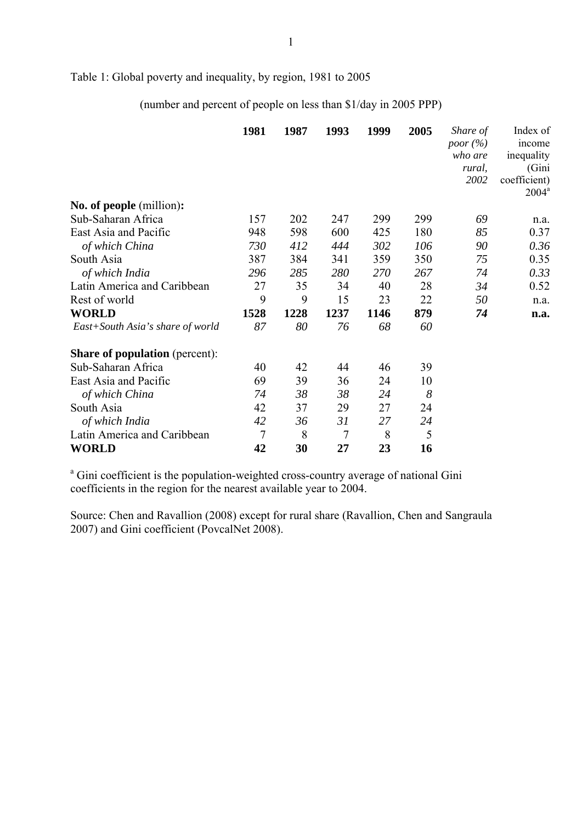### Table 1: Global poverty and inequality, by region, 1981 to 2005

(number and percent of people on less than \$1/day in 2005 PPP)

|                                       | 1981 | 1987 | 1993 | 1999 | 2005 | Share of<br>poor(%)<br>who are<br>rural,<br>2002 | Index of<br>income<br>inequality<br>(Gini<br>coefficient)<br>$2004^a$ |
|---------------------------------------|------|------|------|------|------|--------------------------------------------------|-----------------------------------------------------------------------|
| <b>No. of people (million):</b>       |      |      |      |      |      |                                                  |                                                                       |
| Sub-Saharan Africa                    | 157  | 202  | 247  | 299  | 299  | 69                                               | n.a.                                                                  |
| East Asia and Pacific                 | 948  | 598  | 600  | 425  | 180  | 85                                               | 0.37                                                                  |
| of which China                        | 730  | 412  | 444  | 302  | 106  | 90                                               | 0.36                                                                  |
| South Asia                            | 387  | 384  | 341  | 359  | 350  | 75                                               | 0.35                                                                  |
| of which India                        | 296  | 285  | 280  | 270  | 267  | 74                                               | 0.33                                                                  |
| Latin America and Caribbean           | 27   | 35   | 34   | 40   | 28   | 34                                               | 0.52                                                                  |
| Rest of world                         | 9    | 9    | 15   | 23   | 22   | 50                                               | n.a.                                                                  |
| <b>WORLD</b>                          | 1528 | 1228 | 1237 | 1146 | 879  | 74                                               | n.a.                                                                  |
| East+South Asia's share of world      | 87   | 80   | 76   | 68   | 60   |                                                  |                                                                       |
| <b>Share of population</b> (percent): |      |      |      |      |      |                                                  |                                                                       |
| Sub-Saharan Africa                    | 40   | 42   | 44   | 46   | 39   |                                                  |                                                                       |
| East Asia and Pacific                 | 69   | 39   | 36   | 24   | 10   |                                                  |                                                                       |
| of which China                        | 74   | 38   | 38   | 24   | 8    |                                                  |                                                                       |
| South Asia                            | 42   | 37   | 29   | 27   | 24   |                                                  |                                                                       |
| of which India                        | 42   | 36   | 31   | 27   | 24   |                                                  |                                                                       |
| Latin America and Caribbean           | 7    | 8    | 7    | 8    | 5    |                                                  |                                                                       |
| <b>WORLD</b>                          | 42   | 30   | 27   | 23   | 16   |                                                  |                                                                       |

<sup>a</sup> Gini coefficient is the population-weighted cross-country average of national Gini coefficients in the region for the nearest available year to 2004.

Source: Chen and Ravallion (2008) except for rural share (Ravallion, Chen and Sangraula 2007) and Gini coefficient (PovcalNet 2008).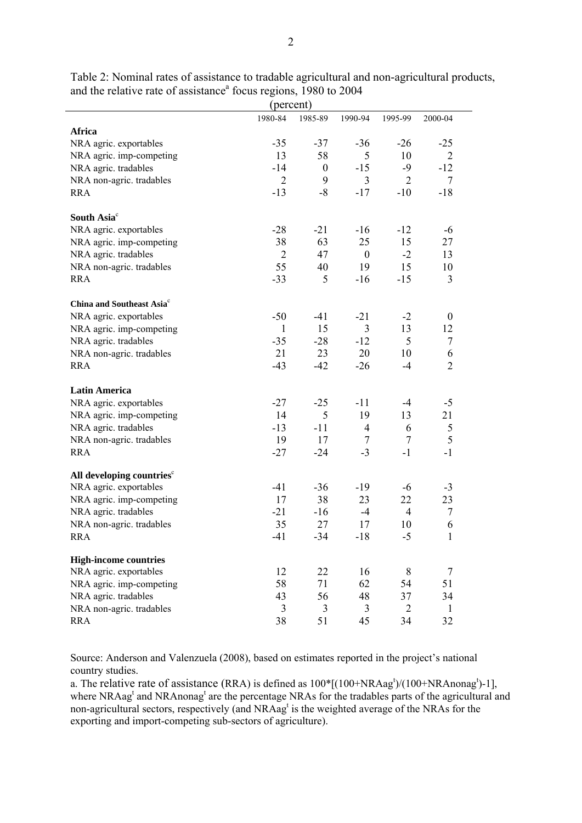| 1980-84<br>1985-89<br>1990-94<br>1995-99<br>2000-04<br>Africa<br>NRA agric. exportables<br>$-36$<br>$-35$<br>$-37$<br>$-26$<br>$-25$<br>13<br>58<br>10<br>NRA agric. imp-competing<br>5<br>$\overline{2}$<br>$-12$<br>NRA agric. tradables<br>$-15$<br>$-9$<br>$-14$<br>$\boldsymbol{0}$<br>$\overline{2}$<br>3<br>$\overline{2}$<br>NRA non-agric. tradables<br>9<br>$\overline{7}$<br>$-13$<br>$-17$<br>$-18$<br><b>RRA</b><br>$-8$<br>$-10$<br>South Asia <sup>c</sup><br>NRA agric. exportables<br>$-21$<br>$-16$<br>$-12$<br>$-28$<br>-6<br>38<br>63<br>15<br>NRA agric. imp-competing<br>25<br>27<br>NRA agric. tradables<br>$\overline{2}$<br>47<br>$\boldsymbol{0}$<br>$-2$<br>13<br>55<br>15<br>NRA non-agric. tradables<br>40<br>19<br>10<br>$-33$<br>5<br>3<br><b>RRA</b><br>$-16$<br>$-15$<br>China and Southeast Asia <sup>c</sup><br>$-50$<br>$-41$<br>$-21$<br>NRA agric. exportables<br>$-2$<br>$\boldsymbol{0}$<br>15<br>3<br>13<br>NRA agric. imp-competing<br>12<br>$\mathbf{1}$<br>5<br>NRA agric. tradables<br>$-35$<br>$-28$<br>$-12$<br>$\overline{7}$<br>NRA non-agric. tradables<br>21<br>23<br>20<br>10<br>6<br>$\overline{2}$<br><b>RRA</b><br>$-43$<br>$-42$<br>$-26$<br>$-4$<br><b>Latin America</b><br>$-11$<br>NRA agric. exportables<br>$-27$<br>$-25$<br>$-5$<br>-4<br>5<br>14<br>19<br>13<br>21<br>NRA agric. imp-competing<br>$\sqrt{5}$<br>$-11$<br>NRA agric. tradables<br>$-13$<br>$\overline{4}$<br>6<br>5<br>19<br>17<br>$\tau$<br>$\overline{7}$<br>NRA non-agric. tradables<br>$-1$<br>$-1$<br><b>RRA</b><br>$-27$<br>$-24$<br>$-3$<br>All developing countries <sup>c</sup><br>$-41$<br>$-36$<br>$-19$<br>NRA agric. exportables<br>$-6$<br>$-3$<br>17<br>38<br>23<br>22<br>NRA agric. imp-competing<br>23<br>NRA agric. tradables<br>$-21$<br>$-16$<br>$-4$<br>4<br>7<br>35<br>17<br>10<br>6<br>NRA non-agric. tradables<br>27<br>$-18$<br>RRA<br>$-41$<br>-34<br>$\cdot 5$<br>$\mathbf{1}$<br><b>High-income countries</b><br>NRA agric. exportables<br>12<br>22<br>16<br>8<br>7<br>62<br>NRA agric. imp-competing<br>58<br>71<br>54<br>51<br>NRA agric. tradables<br>48<br>34<br>43<br>56<br>37<br>NRA non-agric. tradables<br>3<br>3<br>3<br>$\overline{2}$<br>$\mathbf{1}$ |            | (percent) |    |    |    |    |
|----------------------------------------------------------------------------------------------------------------------------------------------------------------------------------------------------------------------------------------------------------------------------------------------------------------------------------------------------------------------------------------------------------------------------------------------------------------------------------------------------------------------------------------------------------------------------------------------------------------------------------------------------------------------------------------------------------------------------------------------------------------------------------------------------------------------------------------------------------------------------------------------------------------------------------------------------------------------------------------------------------------------------------------------------------------------------------------------------------------------------------------------------------------------------------------------------------------------------------------------------------------------------------------------------------------------------------------------------------------------------------------------------------------------------------------------------------------------------------------------------------------------------------------------------------------------------------------------------------------------------------------------------------------------------------------------------------------------------------------------------------------------------------------------------------------------------------------------------------------------------------------------------------------------------------------------------------------------------------------------------------------------------------------------------------------------------------------------------------------------------------------------------------------------------------------------------------------------------|------------|-----------|----|----|----|----|
|                                                                                                                                                                                                                                                                                                                                                                                                                                                                                                                                                                                                                                                                                                                                                                                                                                                                                                                                                                                                                                                                                                                                                                                                                                                                                                                                                                                                                                                                                                                                                                                                                                                                                                                                                                                                                                                                                                                                                                                                                                                                                                                                                                                                                            |            |           |    |    |    |    |
|                                                                                                                                                                                                                                                                                                                                                                                                                                                                                                                                                                                                                                                                                                                                                                                                                                                                                                                                                                                                                                                                                                                                                                                                                                                                                                                                                                                                                                                                                                                                                                                                                                                                                                                                                                                                                                                                                                                                                                                                                                                                                                                                                                                                                            |            |           |    |    |    |    |
|                                                                                                                                                                                                                                                                                                                                                                                                                                                                                                                                                                                                                                                                                                                                                                                                                                                                                                                                                                                                                                                                                                                                                                                                                                                                                                                                                                                                                                                                                                                                                                                                                                                                                                                                                                                                                                                                                                                                                                                                                                                                                                                                                                                                                            |            |           |    |    |    |    |
|                                                                                                                                                                                                                                                                                                                                                                                                                                                                                                                                                                                                                                                                                                                                                                                                                                                                                                                                                                                                                                                                                                                                                                                                                                                                                                                                                                                                                                                                                                                                                                                                                                                                                                                                                                                                                                                                                                                                                                                                                                                                                                                                                                                                                            |            |           |    |    |    |    |
|                                                                                                                                                                                                                                                                                                                                                                                                                                                                                                                                                                                                                                                                                                                                                                                                                                                                                                                                                                                                                                                                                                                                                                                                                                                                                                                                                                                                                                                                                                                                                                                                                                                                                                                                                                                                                                                                                                                                                                                                                                                                                                                                                                                                                            |            |           |    |    |    |    |
|                                                                                                                                                                                                                                                                                                                                                                                                                                                                                                                                                                                                                                                                                                                                                                                                                                                                                                                                                                                                                                                                                                                                                                                                                                                                                                                                                                                                                                                                                                                                                                                                                                                                                                                                                                                                                                                                                                                                                                                                                                                                                                                                                                                                                            |            |           |    |    |    |    |
|                                                                                                                                                                                                                                                                                                                                                                                                                                                                                                                                                                                                                                                                                                                                                                                                                                                                                                                                                                                                                                                                                                                                                                                                                                                                                                                                                                                                                                                                                                                                                                                                                                                                                                                                                                                                                                                                                                                                                                                                                                                                                                                                                                                                                            |            |           |    |    |    |    |
|                                                                                                                                                                                                                                                                                                                                                                                                                                                                                                                                                                                                                                                                                                                                                                                                                                                                                                                                                                                                                                                                                                                                                                                                                                                                                                                                                                                                                                                                                                                                                                                                                                                                                                                                                                                                                                                                                                                                                                                                                                                                                                                                                                                                                            |            |           |    |    |    |    |
|                                                                                                                                                                                                                                                                                                                                                                                                                                                                                                                                                                                                                                                                                                                                                                                                                                                                                                                                                                                                                                                                                                                                                                                                                                                                                                                                                                                                                                                                                                                                                                                                                                                                                                                                                                                                                                                                                                                                                                                                                                                                                                                                                                                                                            |            |           |    |    |    |    |
|                                                                                                                                                                                                                                                                                                                                                                                                                                                                                                                                                                                                                                                                                                                                                                                                                                                                                                                                                                                                                                                                                                                                                                                                                                                                                                                                                                                                                                                                                                                                                                                                                                                                                                                                                                                                                                                                                                                                                                                                                                                                                                                                                                                                                            |            |           |    |    |    |    |
|                                                                                                                                                                                                                                                                                                                                                                                                                                                                                                                                                                                                                                                                                                                                                                                                                                                                                                                                                                                                                                                                                                                                                                                                                                                                                                                                                                                                                                                                                                                                                                                                                                                                                                                                                                                                                                                                                                                                                                                                                                                                                                                                                                                                                            |            |           |    |    |    |    |
|                                                                                                                                                                                                                                                                                                                                                                                                                                                                                                                                                                                                                                                                                                                                                                                                                                                                                                                                                                                                                                                                                                                                                                                                                                                                                                                                                                                                                                                                                                                                                                                                                                                                                                                                                                                                                                                                                                                                                                                                                                                                                                                                                                                                                            |            |           |    |    |    |    |
|                                                                                                                                                                                                                                                                                                                                                                                                                                                                                                                                                                                                                                                                                                                                                                                                                                                                                                                                                                                                                                                                                                                                                                                                                                                                                                                                                                                                                                                                                                                                                                                                                                                                                                                                                                                                                                                                                                                                                                                                                                                                                                                                                                                                                            |            |           |    |    |    |    |
|                                                                                                                                                                                                                                                                                                                                                                                                                                                                                                                                                                                                                                                                                                                                                                                                                                                                                                                                                                                                                                                                                                                                                                                                                                                                                                                                                                                                                                                                                                                                                                                                                                                                                                                                                                                                                                                                                                                                                                                                                                                                                                                                                                                                                            |            |           |    |    |    |    |
|                                                                                                                                                                                                                                                                                                                                                                                                                                                                                                                                                                                                                                                                                                                                                                                                                                                                                                                                                                                                                                                                                                                                                                                                                                                                                                                                                                                                                                                                                                                                                                                                                                                                                                                                                                                                                                                                                                                                                                                                                                                                                                                                                                                                                            |            |           |    |    |    |    |
|                                                                                                                                                                                                                                                                                                                                                                                                                                                                                                                                                                                                                                                                                                                                                                                                                                                                                                                                                                                                                                                                                                                                                                                                                                                                                                                                                                                                                                                                                                                                                                                                                                                                                                                                                                                                                                                                                                                                                                                                                                                                                                                                                                                                                            |            |           |    |    |    |    |
|                                                                                                                                                                                                                                                                                                                                                                                                                                                                                                                                                                                                                                                                                                                                                                                                                                                                                                                                                                                                                                                                                                                                                                                                                                                                                                                                                                                                                                                                                                                                                                                                                                                                                                                                                                                                                                                                                                                                                                                                                                                                                                                                                                                                                            |            |           |    |    |    |    |
|                                                                                                                                                                                                                                                                                                                                                                                                                                                                                                                                                                                                                                                                                                                                                                                                                                                                                                                                                                                                                                                                                                                                                                                                                                                                                                                                                                                                                                                                                                                                                                                                                                                                                                                                                                                                                                                                                                                                                                                                                                                                                                                                                                                                                            |            |           |    |    |    |    |
|                                                                                                                                                                                                                                                                                                                                                                                                                                                                                                                                                                                                                                                                                                                                                                                                                                                                                                                                                                                                                                                                                                                                                                                                                                                                                                                                                                                                                                                                                                                                                                                                                                                                                                                                                                                                                                                                                                                                                                                                                                                                                                                                                                                                                            |            |           |    |    |    |    |
|                                                                                                                                                                                                                                                                                                                                                                                                                                                                                                                                                                                                                                                                                                                                                                                                                                                                                                                                                                                                                                                                                                                                                                                                                                                                                                                                                                                                                                                                                                                                                                                                                                                                                                                                                                                                                                                                                                                                                                                                                                                                                                                                                                                                                            |            |           |    |    |    |    |
|                                                                                                                                                                                                                                                                                                                                                                                                                                                                                                                                                                                                                                                                                                                                                                                                                                                                                                                                                                                                                                                                                                                                                                                                                                                                                                                                                                                                                                                                                                                                                                                                                                                                                                                                                                                                                                                                                                                                                                                                                                                                                                                                                                                                                            |            |           |    |    |    |    |
|                                                                                                                                                                                                                                                                                                                                                                                                                                                                                                                                                                                                                                                                                                                                                                                                                                                                                                                                                                                                                                                                                                                                                                                                                                                                                                                                                                                                                                                                                                                                                                                                                                                                                                                                                                                                                                                                                                                                                                                                                                                                                                                                                                                                                            |            |           |    |    |    |    |
|                                                                                                                                                                                                                                                                                                                                                                                                                                                                                                                                                                                                                                                                                                                                                                                                                                                                                                                                                                                                                                                                                                                                                                                                                                                                                                                                                                                                                                                                                                                                                                                                                                                                                                                                                                                                                                                                                                                                                                                                                                                                                                                                                                                                                            |            |           |    |    |    |    |
|                                                                                                                                                                                                                                                                                                                                                                                                                                                                                                                                                                                                                                                                                                                                                                                                                                                                                                                                                                                                                                                                                                                                                                                                                                                                                                                                                                                                                                                                                                                                                                                                                                                                                                                                                                                                                                                                                                                                                                                                                                                                                                                                                                                                                            |            |           |    |    |    |    |
|                                                                                                                                                                                                                                                                                                                                                                                                                                                                                                                                                                                                                                                                                                                                                                                                                                                                                                                                                                                                                                                                                                                                                                                                                                                                                                                                                                                                                                                                                                                                                                                                                                                                                                                                                                                                                                                                                                                                                                                                                                                                                                                                                                                                                            |            |           |    |    |    |    |
|                                                                                                                                                                                                                                                                                                                                                                                                                                                                                                                                                                                                                                                                                                                                                                                                                                                                                                                                                                                                                                                                                                                                                                                                                                                                                                                                                                                                                                                                                                                                                                                                                                                                                                                                                                                                                                                                                                                                                                                                                                                                                                                                                                                                                            |            |           |    |    |    |    |
|                                                                                                                                                                                                                                                                                                                                                                                                                                                                                                                                                                                                                                                                                                                                                                                                                                                                                                                                                                                                                                                                                                                                                                                                                                                                                                                                                                                                                                                                                                                                                                                                                                                                                                                                                                                                                                                                                                                                                                                                                                                                                                                                                                                                                            |            |           |    |    |    |    |
|                                                                                                                                                                                                                                                                                                                                                                                                                                                                                                                                                                                                                                                                                                                                                                                                                                                                                                                                                                                                                                                                                                                                                                                                                                                                                                                                                                                                                                                                                                                                                                                                                                                                                                                                                                                                                                                                                                                                                                                                                                                                                                                                                                                                                            |            |           |    |    |    |    |
|                                                                                                                                                                                                                                                                                                                                                                                                                                                                                                                                                                                                                                                                                                                                                                                                                                                                                                                                                                                                                                                                                                                                                                                                                                                                                                                                                                                                                                                                                                                                                                                                                                                                                                                                                                                                                                                                                                                                                                                                                                                                                                                                                                                                                            |            |           |    |    |    |    |
|                                                                                                                                                                                                                                                                                                                                                                                                                                                                                                                                                                                                                                                                                                                                                                                                                                                                                                                                                                                                                                                                                                                                                                                                                                                                                                                                                                                                                                                                                                                                                                                                                                                                                                                                                                                                                                                                                                                                                                                                                                                                                                                                                                                                                            |            |           |    |    |    |    |
|                                                                                                                                                                                                                                                                                                                                                                                                                                                                                                                                                                                                                                                                                                                                                                                                                                                                                                                                                                                                                                                                                                                                                                                                                                                                                                                                                                                                                                                                                                                                                                                                                                                                                                                                                                                                                                                                                                                                                                                                                                                                                                                                                                                                                            |            |           |    |    |    |    |
|                                                                                                                                                                                                                                                                                                                                                                                                                                                                                                                                                                                                                                                                                                                                                                                                                                                                                                                                                                                                                                                                                                                                                                                                                                                                                                                                                                                                                                                                                                                                                                                                                                                                                                                                                                                                                                                                                                                                                                                                                                                                                                                                                                                                                            |            |           |    |    |    |    |
|                                                                                                                                                                                                                                                                                                                                                                                                                                                                                                                                                                                                                                                                                                                                                                                                                                                                                                                                                                                                                                                                                                                                                                                                                                                                                                                                                                                                                                                                                                                                                                                                                                                                                                                                                                                                                                                                                                                                                                                                                                                                                                                                                                                                                            |            |           |    |    |    |    |
|                                                                                                                                                                                                                                                                                                                                                                                                                                                                                                                                                                                                                                                                                                                                                                                                                                                                                                                                                                                                                                                                                                                                                                                                                                                                                                                                                                                                                                                                                                                                                                                                                                                                                                                                                                                                                                                                                                                                                                                                                                                                                                                                                                                                                            |            |           |    |    |    |    |
|                                                                                                                                                                                                                                                                                                                                                                                                                                                                                                                                                                                                                                                                                                                                                                                                                                                                                                                                                                                                                                                                                                                                                                                                                                                                                                                                                                                                                                                                                                                                                                                                                                                                                                                                                                                                                                                                                                                                                                                                                                                                                                                                                                                                                            |            |           |    |    |    |    |
|                                                                                                                                                                                                                                                                                                                                                                                                                                                                                                                                                                                                                                                                                                                                                                                                                                                                                                                                                                                                                                                                                                                                                                                                                                                                                                                                                                                                                                                                                                                                                                                                                                                                                                                                                                                                                                                                                                                                                                                                                                                                                                                                                                                                                            |            |           |    |    |    |    |
|                                                                                                                                                                                                                                                                                                                                                                                                                                                                                                                                                                                                                                                                                                                                                                                                                                                                                                                                                                                                                                                                                                                                                                                                                                                                                                                                                                                                                                                                                                                                                                                                                                                                                                                                                                                                                                                                                                                                                                                                                                                                                                                                                                                                                            |            |           |    |    |    |    |
|                                                                                                                                                                                                                                                                                                                                                                                                                                                                                                                                                                                                                                                                                                                                                                                                                                                                                                                                                                                                                                                                                                                                                                                                                                                                                                                                                                                                                                                                                                                                                                                                                                                                                                                                                                                                                                                                                                                                                                                                                                                                                                                                                                                                                            |            |           |    |    |    |    |
|                                                                                                                                                                                                                                                                                                                                                                                                                                                                                                                                                                                                                                                                                                                                                                                                                                                                                                                                                                                                                                                                                                                                                                                                                                                                                                                                                                                                                                                                                                                                                                                                                                                                                                                                                                                                                                                                                                                                                                                                                                                                                                                                                                                                                            | <b>RRA</b> | 38        | 51 | 45 | 34 | 32 |

Table 2: Nominal rates of assistance to tradable agricultural and non-agricultural products, and the relative rate of assistance<sup>a</sup> focus regions, 1980 to 2004

Source: Anderson and Valenzuela (2008), based on estimates reported in the project's national country studies.

a. The relative rate of assistance (RRA) is defined as  $100*[(100+NRAag<sup>t</sup>)/(100+NRAnonag<sup>t</sup>)-1]$ , where NRAag<sup>t</sup> and NRAnonag<sup>t</sup> are the percentage NRAs for the tradables parts of the agricultural and non-agricultural sectors, respectively (and NRAag<sup>t</sup> is the weighted average of the NRAs for the exporting and import-competing sub-sectors of agriculture).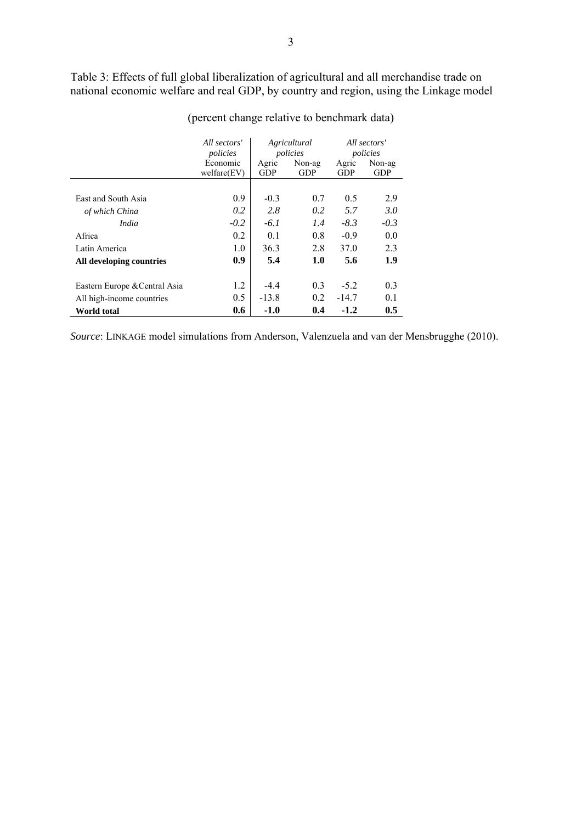Table 3: Effects of full global liberalization of agricultural and all merchandise trade on national economic welfare and real GDP, by country and region, using the Linkage model

|                               | All sectors'<br>policies |            | Agricultural<br>policies |         | All sectors'<br>policies |
|-------------------------------|--------------------------|------------|--------------------------|---------|--------------------------|
|                               | Economic                 | Agric      | Non-ag                   | Agric   | Non-ag                   |
|                               | welfare(EV)              | <b>GDP</b> | <b>GDP</b>               | GDP     | <b>GDP</b>               |
|                               |                          |            |                          |         |                          |
| East and South Asia           | 0.9                      | $-0.3$     | 0.7                      | 0.5     | 2.9                      |
| of which China                | 0.2                      | 2.8        | 0.2                      | 5.7     | 3.0                      |
| India                         | $-0.2$                   | $-6.1$     | 1.4                      | $-8.3$  | $-0.3$                   |
| Africa                        | 0.2                      | 0.1        | 0.8                      | $-0.9$  | 0.0                      |
| Latin America                 | 1.0                      | 36.3       | 2.8                      | 37.0    | 2.3                      |
| All developing countries      | 0.9                      | 5.4        | 1.0                      | 5.6     | 1.9                      |
| Eastern Europe & Central Asia | 1.2                      | $-4.4$     | 0.3                      | $-5.2$  | 0.3                      |
| All high-income countries     | 0.5                      | $-13.8$    | 0.2                      | $-14.7$ | 0.1                      |
| World total                   | 0.6                      | $-1.0$     | 0.4                      | $-1.2$  | 0.5                      |

(percent change relative to benchmark data)

*Source*: LINKAGE model simulations from Anderson, Valenzuela and van der Mensbrugghe (2010).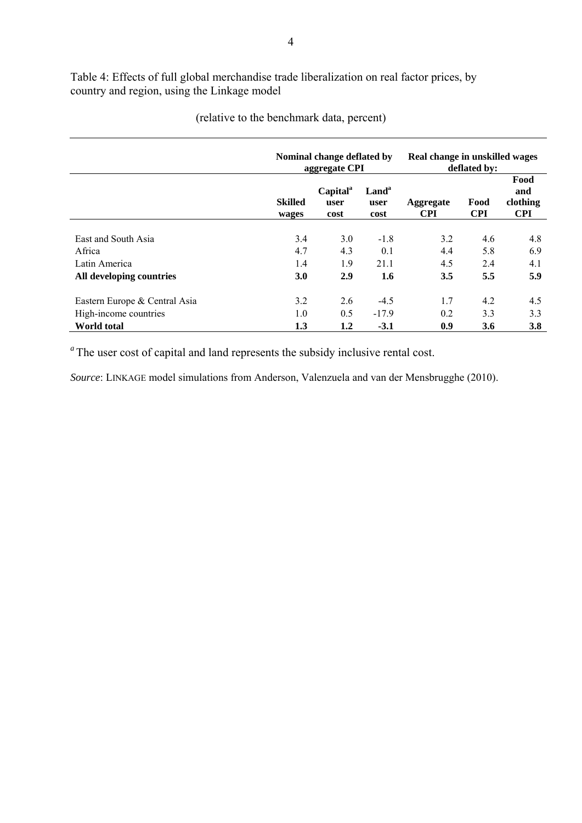Table 4: Effects of full global merchandise trade liberalization on real factor prices, by country and region, using the Linkage model

|                               |                         | Nominal change deflated by<br>aggregate CPI |                                   | Real change in unskilled wages<br>deflated by: |                    |                                       |  |
|-------------------------------|-------------------------|---------------------------------------------|-----------------------------------|------------------------------------------------|--------------------|---------------------------------------|--|
|                               | <b>Skilled</b><br>wages | <b>Capital</b> <sup>a</sup><br>user<br>cost | Land <sup>a</sup><br>user<br>cost | Aggregate<br><b>CPI</b>                        | Food<br><b>CPI</b> | Food<br>and<br>clothing<br><b>CPI</b> |  |
| East and South Asia           |                         |                                             |                                   |                                                |                    |                                       |  |
| Africa                        | 3.4<br>4.7              | 3.0<br>4.3                                  | $-1.8$<br>0.1                     | 3.2<br>4.4                                     | 4.6<br>5.8         | 4.8<br>6.9                            |  |
| Latin America                 | 1.4                     | 1.9                                         | 21.1                              | 4.5                                            | 2.4                | 4.1                                   |  |
| All developing countries      | 3.0                     | 2.9                                         | 1.6                               | 3.5                                            | 5.5                | 5.9                                   |  |
| Eastern Europe & Central Asia | 3.2                     | 2.6                                         | $-4.5$                            | 1.7                                            | 4.2                | 4.5                                   |  |
| High-income countries         | 1.0                     | 0.5                                         | $-17.9$                           | 0.2                                            | 3.3                | 3.3                                   |  |
| <b>World total</b>            | 1.3                     | 1.2                                         | $-3.1$                            | 0.9                                            | 3.6                | 3.8                                   |  |

(relative to the benchmark data, percent)

*<sup>a</sup>*The user cost of capital and land represents the subsidy inclusive rental cost.

*Source*: LINKAGE model simulations from Anderson, Valenzuela and van der Mensbrugghe (2010).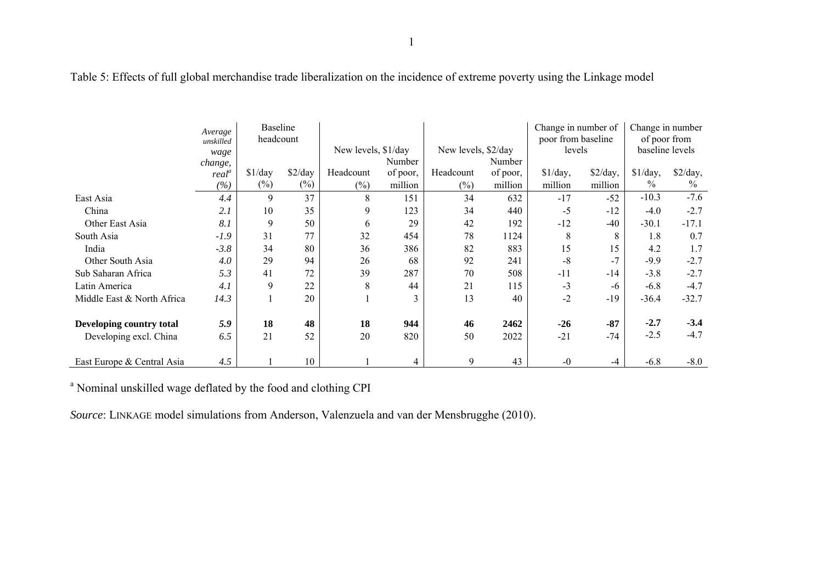|                            | Average<br>unskilled |         | <b>Baseline</b><br>headcount |                     |          |                     |          | Change in number of<br>poor from baseline |          | Change in number<br>of poor from |          |  |
|----------------------------|----------------------|---------|------------------------------|---------------------|----------|---------------------|----------|-------------------------------------------|----------|----------------------------------|----------|--|
|                            | wage                 |         |                              | New levels, \$1/day |          | New levels, \$2/day |          | levels                                    |          | baseline levels                  |          |  |
|                            | change,              |         |                              |                     | Number   |                     | Number   |                                           |          |                                  |          |  |
|                            | real <sup>a</sup>    | \$1/day | \$2/day                      | Headcount           | of poor, | Headcount           | of poor, | \$1/day,                                  | \$2/day, | \$1/day,                         | \$2/day, |  |
|                            | (%)                  | $(\%)$  | $(\%)$                       | $(\%)$              | million  | $(\%)$              | million  | million                                   | million  | $\frac{0}{0}$                    | $\%$     |  |
| East Asia                  | 4.4                  | 9       | 37                           | 8                   | 151      | 34                  | 632      | $-17$                                     | $-52$    | $-10.3$                          | $-7.6$   |  |
| China                      | 2.1                  | 10      | 35                           | 9                   | 123      | 34                  | 440      | $-5$                                      | $-12$    | $-4.0$                           | $-2.7$   |  |
| Other East Asia            | 8.1                  | 9       | 50                           | 6                   | 29       | 42                  | 192      | $-12$                                     | $-40$    | $-30.1$                          | $-17.1$  |  |
| South Asia                 | $-1.9$               | 31      | 77                           | 32                  | 454      | 78                  | 1124     | 8                                         | 8        | 1.8                              | 0.7      |  |
| India                      | $-3.8$               | 34      | 80                           | 36                  | 386      | 82                  | 883      | 15                                        | 15       | 4.2                              | 1.7      |  |
| Other South Asia           | 4.0                  | 29      | 94                           | 26                  | 68       | 92                  | 241      | $-8$                                      | $-7$     | $-9.9$                           | $-2.7$   |  |
| Sub Saharan Africa         | 5.3                  | 41      | 72                           | 39                  | 287      | 70                  | 508      | $-11$                                     | $-14$    | $-3.8$                           | $-2.7$   |  |
| Latin America              | 4.1                  | 9       | 22                           | 8                   | 44       | 21                  | 115      | $-3$                                      | $-6$     | $-6.8$                           | $-4.7$   |  |
| Middle East & North Africa | 14.3                 |         | 20                           |                     | 3        | 13                  | 40       | $-2$                                      | $-19$    | $-36.4$                          | $-32.7$  |  |
|                            |                      |         |                              |                     |          |                     |          |                                           |          |                                  |          |  |
| Developing country total   | 5.9                  | 18      | 48                           | 18                  | 944      | 46                  | 2462     | $-26$                                     | $-87$    | $-2.7$                           | $-3.4$   |  |
| Developing excl. China     | 6.5                  | 21      | 52                           | 20                  | 820      | 50                  | 2022     | $-21$                                     | $-74$    | $-2.5$                           | $-4.7$   |  |
|                            |                      |         |                              |                     |          |                     |          |                                           |          |                                  |          |  |
| East Europe & Central Asia | 4.5                  |         | 10                           |                     | 4        | 9                   | 43       | $-0$                                      | -4       | $-6.8$                           | $-8.0$   |  |

Table 5: Effects of full global merchandise trade liberalization on the incidence of extreme poverty using the Linkage model

a Nominal unskilled wage deflated by the food and clothing CPI

*Source*: LINKAGE model simulations from Anderson, Valenzuela and van der Mensbrugghe (2010).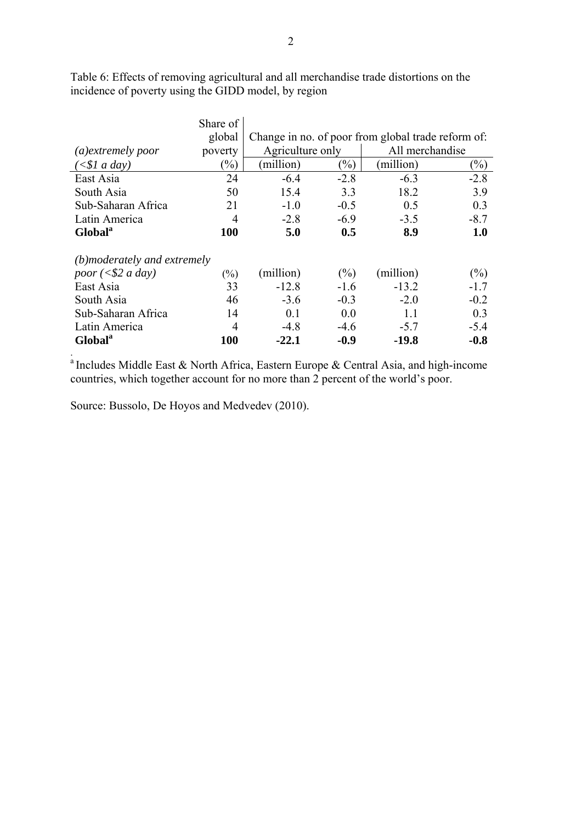|                             | Share of       |                                                    |                            |                 |        |  |  |  |  |
|-----------------------------|----------------|----------------------------------------------------|----------------------------|-----------------|--------|--|--|--|--|
|                             | global         | Change in no. of poor from global trade reform of: |                            |                 |        |  |  |  |  |
| $(a)$ <i>extremely poor</i> | poverty        | Agriculture only                                   |                            | All merchandise |        |  |  |  |  |
| $(\$1\ a\ day)$             | $(\%)$         | (million)                                          | $\left(\frac{0}{0}\right)$ | (million)       | $(\%)$ |  |  |  |  |
| East Asia                   | 24             | $-6.4$                                             | $-2.8$                     | $-6.3$          | $-2.8$ |  |  |  |  |
| South Asia                  | 50             | 15.4                                               | 3.3                        | 18.2            | 3.9    |  |  |  |  |
| Sub-Saharan Africa          | 21             | $-1.0$                                             | $-0.5$                     | 0.5             | 0.3    |  |  |  |  |
| Latin America               | $\overline{4}$ | $-2.8$                                             | $-6.9$                     | $-3.5$          | $-8.7$ |  |  |  |  |
| Global <sup>a</sup>         | 100            | 5.0                                                | 0.5                        | 8.9             | 1.0    |  |  |  |  |
| (b)moderately and extremely |                |                                                    |                            |                 |        |  |  |  |  |
| poor $($2 \ a \ day)$       | $(\%)$         | (million)                                          | (%)                        | (million)       | $(\%)$ |  |  |  |  |
| East Asia                   | 33             | $-12.8$                                            | $-1.6$                     | $-13.2$         | $-1.7$ |  |  |  |  |
| South Asia                  | 46             | $-3.6$                                             | $-0.3$                     | $-2.0$          | $-0.2$ |  |  |  |  |
| Sub-Saharan Africa          | 14             | 0.1                                                | 0.0                        | 1.1             | 0.3    |  |  |  |  |
| Latin America               | 4              | $-4.8$                                             | $-4.6$                     | $-5.7$          | $-5.4$ |  |  |  |  |
| <b>Global</b> <sup>a</sup>  | 100            | $-22.1$                                            | $-0.9$                     | $-19.8$         | $-0.8$ |  |  |  |  |

Table 6: Effects of removing agricultural and all merchandise trade distortions on the incidence of poverty using the GIDD model, by region

<sup>a</sup> Includes Middle East & North Africa, Eastern Europe & Central Asia, and high-income countries, which together account for no more than 2 percent of the world's poor.

Source: Bussolo, De Hoyos and Medvedev (2010).

.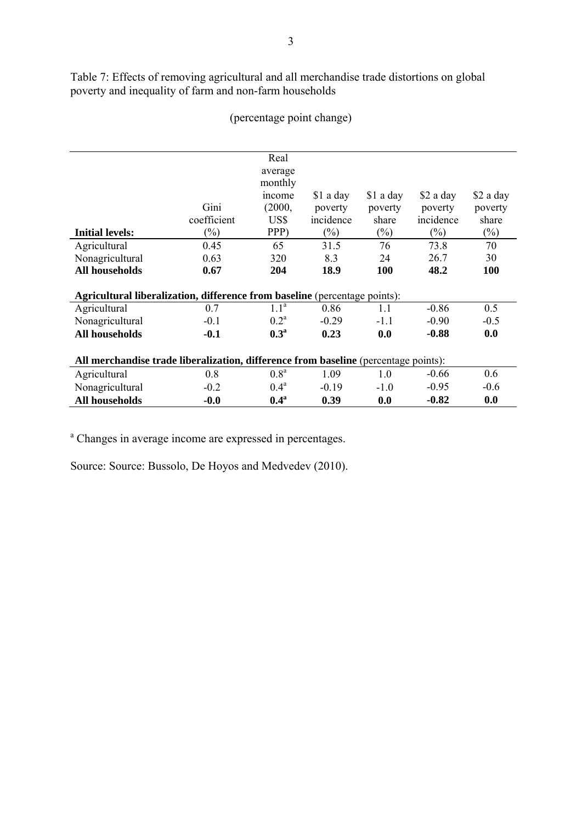Table 7: Effects of removing agricultural and all merchandise trade distortions on global poverty and inequality of farm and non-farm households

|                                                                                     |             | Real             |            |            |            |           |
|-------------------------------------------------------------------------------------|-------------|------------------|------------|------------|------------|-----------|
|                                                                                     |             | average          |            |            |            |           |
|                                                                                     |             | monthly          |            |            |            |           |
|                                                                                     |             | income           | $$1$ a day | \$1 a day  | $$2$ a day | \$2 a day |
|                                                                                     | Gini        | (2000,           | poverty    | poverty    | poverty    | poverty   |
|                                                                                     | coefficient | US\$             | incidence  | share      | incidence  | share     |
| <b>Initial levels:</b>                                                              | $(\%)$      | PPP)             | $(\%)$     | $(\%)$     | $(\%)$     | $(\%)$    |
| Agricultural                                                                        | 0.45        | 65               | 31.5       | 76         | 73.8       | 70        |
| Nonagricultural                                                                     | 0.63        | 320              | 8.3        | 24         | 26.7       | 30        |
| All households                                                                      | 0.67        | 204              | 18.9       | <b>100</b> | 48.2       | 100       |
|                                                                                     |             |                  |            |            |            |           |
| Agricultural liberalization, difference from baseline (percentage points):          |             |                  |            |            |            |           |
| Agricultural                                                                        | 0.7         | 1.1 <sup>a</sup> | 0.86       | 11         | $-0.86$    | 0.5       |
| Nonagricultural                                                                     | $-0.1$      | $0.2^{\rm a}$    | $-0.29$    | $-1.1$     | $-0.90$    | $-0.5$    |
| <b>All households</b>                                                               | $-0.1$      | 0.3 <sup>a</sup> | 0.23       | 0.0        | $-0.88$    | 0.0       |
|                                                                                     |             |                  |            |            |            |           |
| All merchandise trade liberalization, difference from baseline (percentage points): |             |                  |            |            |            |           |
| Agricultural                                                                        | 0.8         | 0.8 <sup>a</sup> | 1.09       | 1.0        | $-0.66$    | 0.6       |
| Nonagricultural                                                                     | $-0.2$      | $0.4^{\rm a}$    | $-0.19$    | $-1.0$     | $-0.95$    | $-0.6$    |
| All households                                                                      | $-0.0$      | $0.4^\mathrm{a}$ | 0.39       | 0.0        | $-0.82$    | 0.0       |

(percentage point change)

<sup>a</sup> Changes in average income are expressed in percentages.

Source: Source: Bussolo, De Hoyos and Medvedev (2010).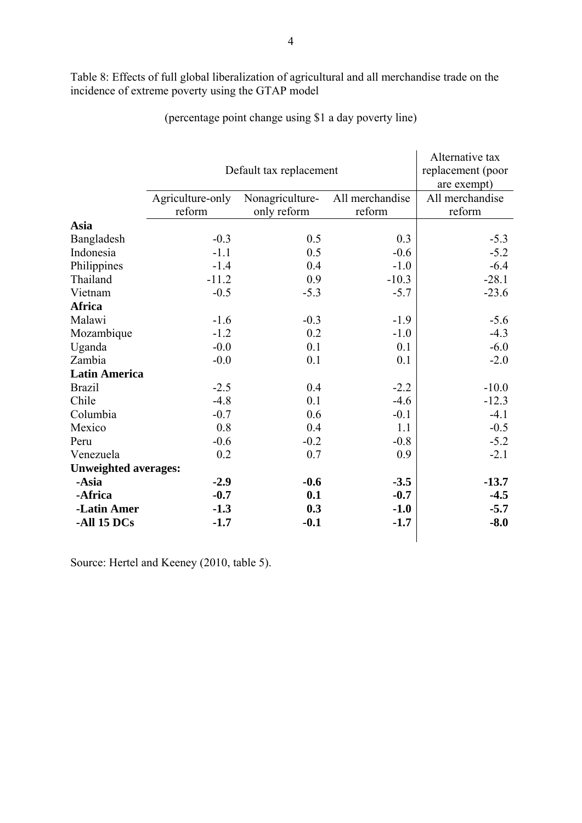Table 8: Effects of full global liberalization of agricultural and all merchandise trade on the incidence of extreme poverty using the GTAP model

|                             |                            | Default tax replacement        |                 | Alternative tax<br>replacement (poor |
|-----------------------------|----------------------------|--------------------------------|-----------------|--------------------------------------|
|                             |                            |                                | All merchandise | are exempt)<br>All merchandise       |
|                             | Agriculture-only<br>reform | Nonagriculture-<br>only reform | reform          | reform                               |
|                             |                            |                                |                 |                                      |
| Asia                        |                            |                                |                 |                                      |
| Bangladesh                  | $-0.3$                     | 0.5                            | 0.3             | $-5.3$                               |
| Indonesia                   | $-1.1$                     | 0.5                            | $-0.6$          | $-5.2$                               |
| Philippines                 | $-1.4$                     | 0.4                            | $-1.0$          | $-6.4$                               |
| Thailand                    | $-11.2$                    | 0.9                            | $-10.3$         | $-28.1$                              |
| Vietnam                     | $-0.5$                     | $-5.3$                         | $-5.7$          | $-23.6$                              |
| <b>Africa</b>               |                            |                                |                 |                                      |
| Malawi                      | $-1.6$                     | $-0.3$                         | $-1.9$          | $-5.6$                               |
| Mozambique                  | $-1.2$                     | 0.2                            | $-1.0$          | $-4.3$                               |
| Uganda                      | $-0.0$                     | 0.1                            | 0.1             | $-6.0$                               |
| Zambia                      | $-0.0$                     | 0.1                            | 0.1             | $-2.0$                               |
| <b>Latin America</b>        |                            |                                |                 |                                      |
| <b>Brazil</b>               | $-2.5$                     | 0.4                            | $-2.2$          | $-10.0$                              |
| Chile                       | $-4.8$                     | 0.1                            | $-4.6$          | $-12.3$                              |
| Columbia                    | $-0.7$                     | 0.6                            | $-0.1$          | $-4.1$                               |
| Mexico                      | 0.8                        | 0.4                            | 1.1             | $-0.5$                               |
| Peru                        | $-0.6$                     | $-0.2$                         | $-0.8$          | $-5.2$                               |
| Venezuela                   | 0.2                        | 0.7                            | 0.9             | $-2.1$                               |
| <b>Unweighted averages:</b> |                            |                                |                 |                                      |
| -Asia                       | $-2.9$                     | $-0.6$                         | $-3.5$          | $-13.7$                              |
| -Africa                     | $-0.7$                     | 0.1                            | $-0.7$          | $-4.5$                               |
| -Latin Amer                 | $-1.3$                     | 0.3                            | $-1.0$          | $-5.7$                               |
| -All 15 DCs                 | $-1.7$                     | $-0.1$                         | $-1.7$          | $-8.0$                               |

(percentage point change using \$1 a day poverty line)

Source: Hertel and Keeney (2010, table 5).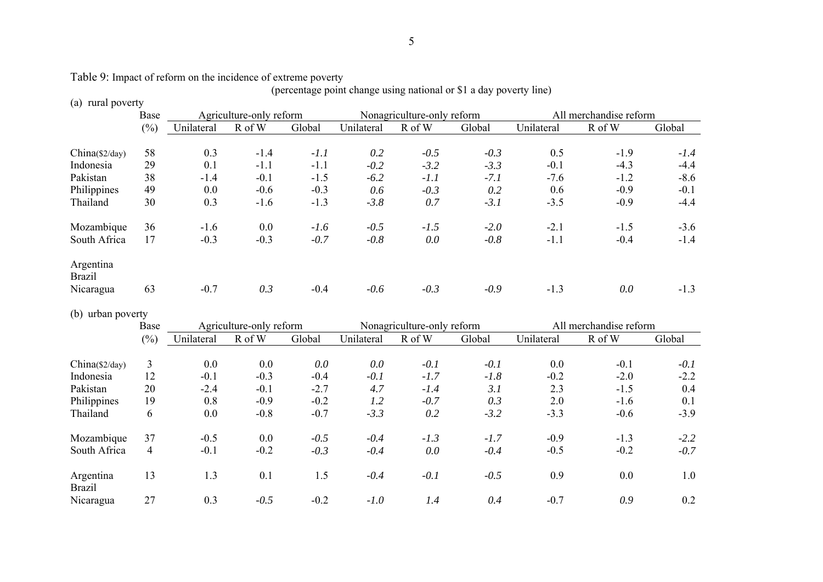Table 9: Impact of reform on the incidence of extreme poverty

(percentage point change using national or \$1 a day poverty line)

| (a) rural poverty                       |                |            |                         |        |            |                            |        |            |                        |        |
|-----------------------------------------|----------------|------------|-------------------------|--------|------------|----------------------------|--------|------------|------------------------|--------|
|                                         | Base           |            | Agriculture-only reform |        |            | Nonagriculture-only reform |        |            | All merchandise reform |        |
|                                         | $(\%)$         | Unilateral | R of W                  | Global | Unilateral | R of W                     | Global | Unilateral | R of W                 | Global |
|                                         |                |            |                         |        |            |                            |        |            |                        |        |
| China(\$2/day)                          | 58             | 0.3        | $-1.4$                  | $-1.1$ | 0.2        | $-0.5$                     | $-0.3$ | 0.5        | $-1.9$                 | $-1.4$ |
| Indonesia                               | 29             | 0.1        | $-1.1$                  | $-1.1$ | $-0.2$     | $-3.2$                     | $-3.3$ | $-0.1$     | $-4.3$                 | $-4.4$ |
| Pakistan                                | 38             | $-1.4$     | $-0.1$                  | $-1.5$ | $-6.2$     | $-1.1$                     | $-7.1$ | $-7.6$     | $-1.2$                 | $-8.6$ |
| Philippines                             | 49             | 0.0        | $-0.6$                  | $-0.3$ | 0.6        | $-0.3$                     | 0.2    | 0.6        | $-0.9$                 | $-0.1$ |
| Thailand                                | 30             | 0.3        | $-1.6$                  | $-1.3$ | $-3.8$     | 0.7                        | $-3.1$ | $-3.5$     | $-0.9$                 | $-4.4$ |
| Mozambique                              | 36             | $-1.6$     | 0.0                     | $-1.6$ | $-0.5$     | $-1.5$                     | $-2.0$ | $-2.1$     | $-1.5$                 | $-3.6$ |
| South Africa                            | 17             | $-0.3$     | $-0.3$                  | $-0.7$ | $-0.8$     | 0.0                        | $-0.8$ | $-1.1$     | $-0.4$                 | $-1.4$ |
| Argentina<br><b>Brazil</b><br>Nicaragua | 63             | $-0.7$     | 0.3                     | $-0.4$ | $-0.6$     | $-0.3$                     | $-0.9$ | $-1.3$     | 0.0                    | $-1.3$ |
| (b) urban poverty                       |                |            |                         |        |            |                            |        |            |                        |        |
|                                         | Base           |            | Agriculture-only reform |        |            | Nonagriculture-only reform |        |            | All merchandise reform |        |
|                                         | $(\%)$         |            |                         |        |            |                            |        |            |                        |        |
|                                         |                | Unilateral | R of W                  | Global | Unilateral | R of W                     | Global | Unilateral | R of W                 | Global |
|                                         |                |            |                         |        |            |                            |        |            |                        |        |
| China(\$2/day)                          | $\overline{3}$ | 0.0        | 0.0                     | 0.0    | 0.0        | $-0.1$                     | $-0.1$ | 0.0        | $-0.1$                 | $-0.1$ |
| Indonesia                               | 12             | $-0.1$     | $-0.3$                  | $-0.4$ | $-0.1$     | $-1.7$                     | $-1.8$ | $-0.2$     | $-2.0$                 | $-2.2$ |
| Pakistan                                | 20             | $-2.4$     | $-0.1$                  | $-2.7$ | 4.7        | $-1.4$                     | 3.1    | 2.3        | $-1.5$                 | 0.4    |
| Philippines                             | 19             | 0.8        | $-0.9$                  | $-0.2$ | 1.2        | $-0.7$                     | 0.3    | 2.0        | $-1.6$                 | 0.1    |
| Thailand                                | 6              | 0.0        | $-0.8$                  | $-0.7$ | $-3.3$     | 0.2                        | $-3.2$ | $-3.3$     | $-0.6$                 | $-3.9$ |
| Mozambique                              | 37             | $-0.5$     | 0.0                     | $-0.5$ | $-0.4$     | $-1.3$                     | $-1.7$ | $-0.9$     | $-1.3$                 | $-2.2$ |
| South Africa                            | 4              | $-0.1$     | $-0.2$                  | $-0.3$ | $-0.4$     | 0.0                        | $-0.4$ | $-0.5$     | $-0.2$                 | $-0.7$ |
| Argentina<br><b>Brazil</b>              | 13             | 1.3        | 0.1                     | 1.5    | $-0.4$     | $-0.1$                     | $-0.5$ | 0.9        | 0.0                    | 1.0    |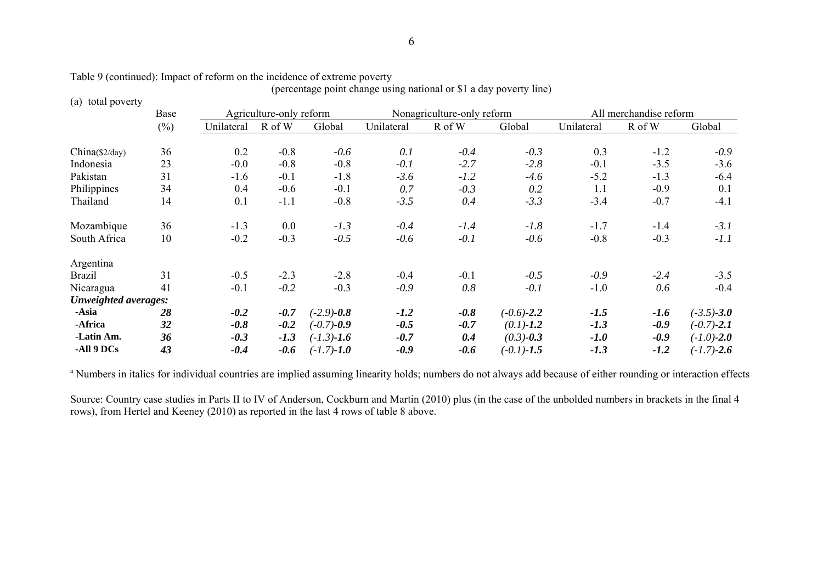| (a) total poverty           |        |            |                         |                |            |                            | . .            |            |                        |                |
|-----------------------------|--------|------------|-------------------------|----------------|------------|----------------------------|----------------|------------|------------------------|----------------|
|                             | Base   |            | Agriculture-only reform |                |            | Nonagriculture-only reform |                |            | All merchandise reform |                |
|                             | $(\%)$ | Unilateral | R of W                  | Global         | Unilateral | R of W                     | Global         | Unilateral | R of W                 | Global         |
| China(\$2/day)              | 36     | 0.2        | $-0.8$                  | $-0.6$         | 0.1        | $-0.4$                     | $-0.3$         | 0.3        | $-1.2$                 | $-0.9$         |
| Indonesia                   | 23     | $-0.0$     | $-0.8$                  | $-0.8$         | $-0.1$     | $-2.7$                     | $-2.8$         | $-0.1$     | $-3.5$                 | $-3.6$         |
| Pakistan                    | 31     | $-1.6$     | $-0.1$                  | $-1.8$         | $-3.6$     | $-1.2$                     | $-4.6$         | $-5.2$     | $-1.3$                 | $-6.4$         |
| Philippines                 | 34     | 0.4        | $-0.6$                  | $-0.1$         | 0.7        | $-0.3$                     | 0.2            | 1.1        | $-0.9$                 | 0.1            |
| Thailand                    | 14     | 0.1        | $-1.1$                  | $-0.8$         | $-3.5$     | 0.4                        | $-3.3$         | $-3.4$     | $-0.7$                 | $-4.1$         |
| Mozambique                  | 36     | $-1.3$     | 0.0                     | $-1.3$         | $-0.4$     | $-1.4$                     | $-1.8$         | $-1.7$     | $-1.4$                 | $-3.1$         |
| South Africa                | 10     | $-0.2$     | $-0.3$                  | $-0.5$         | $-0.6$     | $-0.1$                     | $-0.6$         | $-0.8$     | $-0.3$                 | $-1.1$         |
| Argentina                   |        |            |                         |                |            |                            |                |            |                        |                |
| Brazil                      | 31     | $-0.5$     | $-2.3$                  | $-2.8$         | $-0.4$     | $-0.1$                     | $-0.5$         | $-0.9$     | $-2.4$                 | $-3.5$         |
| Nicaragua                   | 41     | $-0.1$     | $-0.2$                  | $-0.3$         | $-0.9$     | 0.8                        | $-0.1$         | $-1.0$     | 0.6                    | $-0.4$         |
| <b>Unweighted averages:</b> |        |            |                         |                |            |                            |                |            |                        |                |
| -Asia                       | 28     | $-0.2$     | $-0.7$                  | $(-2.9) - 0.8$ | $-1.2$     | $-0.8$                     | $(-0.6) - 2.2$ | $-1.5$     | $-1.6$                 | $(-3.5) - 3.0$ |
| -Africa                     | 32     | $-0.8$     | $-0.2$                  | $(-0.7) - 0.9$ | $-0.5$     | $-0.7$                     | $(0.1)$ -1.2   | $-1.3$     | $-0.9$                 | $(-0.7) - 2.1$ |
| -Latin Am.                  | 36     | $-0.3$     | $-1.3$                  | $(-1.3) - 1.6$ | $-0.7$     | 0.4                        | $(0.3) - 0.3$  | $-1.0$     | $-0.9$                 | $(-1.0) - 2.0$ |
| -All 9 DCs                  | 43     | $-0.4$     | $-0.6$                  | $(-1.7) - 1.0$ | $-0.9$     | $-0.6$                     | $-0.1)$ -1.5   | $-1.3$     | $-1.2$                 | $(-1.7) - 2.6$ |

Table 9 (continued): Impact of reform on the incidence of extreme poverty

(percentage point change using national or \$1 a day poverty line)

<sup>a</sup> Numbers in italics for individual countries are implied assuming linearity holds; numbers do not always add because of either rounding or interaction effects

Source: Country case studies in Parts II to IV of Anderson, Cockburn and Martin (2010) plus (in the case of the unbolded numbers in brackets in the final 4 rows), from Hertel and Keeney (2010) as reported in the last 4 rows of table 8 above.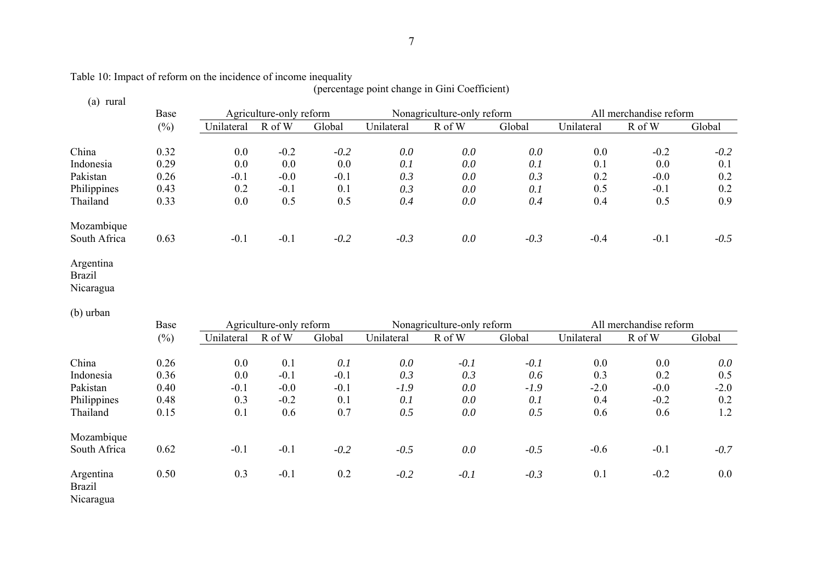Table 10: Impact of reform on the incidence of income inequality

|                            |        |            |                         |        | (percentage point change in Gini Coefficient) |                            |        |            |                        |        |  |
|----------------------------|--------|------------|-------------------------|--------|-----------------------------------------------|----------------------------|--------|------------|------------------------|--------|--|
| (a) rural                  | Base   |            | Agriculture-only reform |        |                                               | Nonagriculture-only reform |        |            | All merchandise reform |        |  |
|                            | $(\%)$ | Unilateral | R of W                  | Global | Unilateral                                    | R of W                     | Global | Unilateral | R of W                 | Global |  |
| China                      | 0.32   | 0.0        | $-0.2$                  | $-0.2$ | 0.0                                           | 0.0                        | 0.0    | 0.0        | $-0.2$                 | $-0.2$ |  |
| Indonesia                  | 0.29   | 0.0        | 0.0                     | 0.0    | 0.1                                           | 0.0                        | 0.1    | 0.1        | 0.0                    | 0.1    |  |
| Pakistan                   | 0.26   | $-0.1$     | $-0.0$                  | $-0.1$ | 0.3                                           | 0.0                        | 0.3    | 0.2        | $-0.0$                 | 0.2    |  |
| Philippines                | 0.43   | 0.2        | $-0.1$                  | 0.1    | 0.3                                           | 0.0                        | 0.1    | 0.5        | $-0.1$                 | 0.2    |  |
| Thailand                   | 0.33   | 0.0        | 0.5                     | 0.5    | 0.4                                           | 0.0                        | 0.4    | 0.4        | 0.5                    | 0.9    |  |
| Mozambique<br>South Africa | 0.63   | $-0.1$     | $-0.1$                  | $-0.2$ | $-0.3$                                        | 0.0                        | $-0.3$ | $-0.4$     | $-0.1$                 | $-0.5$ |  |
|                            |        |            |                         |        |                                               |                            |        |            |                        |        |  |

Argentina

Brazil

Nicaragua

(b) urban

|                            | Base   |            | Agriculture-only reform |        |            | Nonagriculture-only reform |        |            | All merchandise reform |        |
|----------------------------|--------|------------|-------------------------|--------|------------|----------------------------|--------|------------|------------------------|--------|
|                            | $(\%)$ | Unilateral | R of W                  | Global | Unilateral | R of W                     | Global | Unilateral | R of W                 | Global |
| China                      |        |            |                         |        |            |                            |        |            |                        |        |
|                            | 0.26   | 0.0        | 0.1                     | 0.1    | 0.0        | $-0.1$                     | $-0.1$ | 0.0        | 0.0                    | 0.0    |
| Indonesia                  | 0.36   | 0.0        | $-0.1$                  | $-0.1$ | 0.3        | 0.3                        | 0.6    | 0.3        | 0.2                    | 0.5    |
| Pakistan                   | 0.40   | $-0.1$     | $-0.0$                  | $-0.1$ | $-1.9$     | 0.0                        | $-1.9$ | $-2.0$     | $-0.0$                 | $-2.0$ |
| Philippines                | 0.48   | 0.3        | $-0.2$                  | 0.1    | 0.1        | 0.0                        | 0.1    | 0.4        | $-0.2$                 | 0.2    |
| Thailand                   | 0.15   | 0.1        | 0.6                     | 0.7    | 0.5        | 0.0                        | 0.5    | 0.6        | 0.6                    | 1.2    |
| Mozambique                 |        |            |                         |        |            |                            |        |            |                        |        |
| South Africa               | 0.62   | $-0.1$     | $-0.1$                  | $-0.2$ | $-0.5$     | 0.0                        | $-0.5$ | $-0.6$     | $-0.1$                 | $-0.7$ |
| Argentina<br><b>Brazil</b> | 0.50   | 0.3        | $-0.1$                  | 0.2    | $-0.2$     | $-0.1$                     | $-0.3$ | 0.1        | $-0.2$                 | 0.0    |
| Nicaragua                  |        |            |                         |        |            |                            |        |            |                        |        |